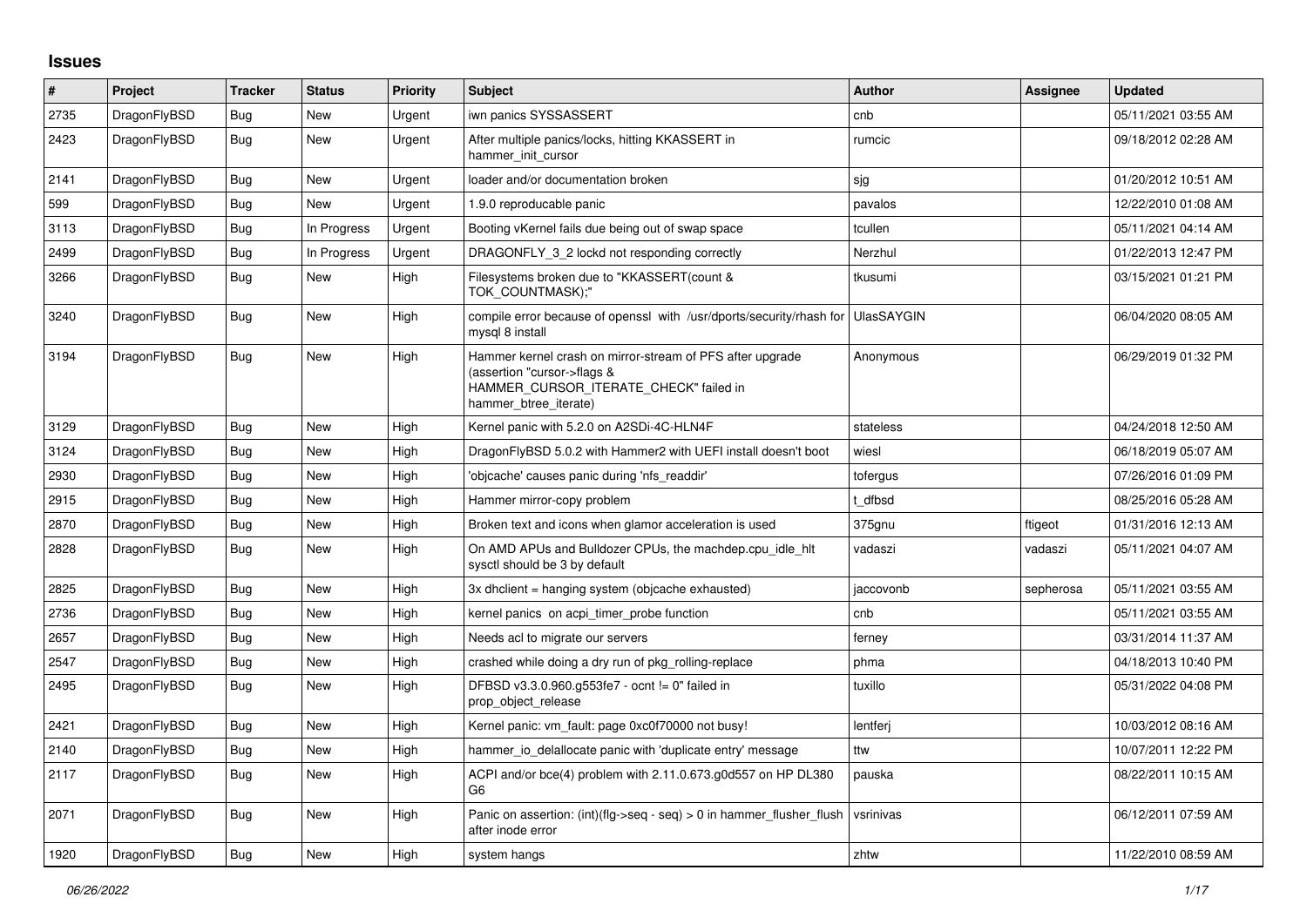## **Issues**

| #    | Project      | <b>Tracker</b> | <b>Status</b> | <b>Priority</b> | <b>Subject</b>                                                                                                                                              | <b>Author</b> | Assignee  | <b>Updated</b>      |
|------|--------------|----------------|---------------|-----------------|-------------------------------------------------------------------------------------------------------------------------------------------------------------|---------------|-----------|---------------------|
| 2735 | DragonFlyBSD | Bug            | New           | Urgent          | iwn panics SYSSASSERT                                                                                                                                       | cnb           |           | 05/11/2021 03:55 AM |
| 2423 | DragonFlyBSD | <b>Bug</b>     | <b>New</b>    | Urgent          | After multiple panics/locks, hitting KKASSERT in<br>hammer init cursor                                                                                      | rumcic        |           | 09/18/2012 02:28 AM |
| 2141 | DragonFlyBSD | Bug            | New           | Urgent          | loader and/or documentation broken                                                                                                                          | sjg           |           | 01/20/2012 10:51 AM |
| 599  | DragonFlyBSD | Bug            | New           | Urgent          | 1.9.0 reproducable panic                                                                                                                                    | pavalos       |           | 12/22/2010 01:08 AM |
| 3113 | DragonFlyBSD | <b>Bug</b>     | In Progress   | Urgent          | Booting vKernel fails due being out of swap space                                                                                                           | tcullen       |           | 05/11/2021 04:14 AM |
| 2499 | DragonFlyBSD | <b>Bug</b>     | In Progress   | Urgent          | DRAGONFLY_3_2 lockd not responding correctly                                                                                                                | Nerzhul       |           | 01/22/2013 12:47 PM |
| 3266 | DragonFlyBSD | Bug            | New           | High            | Filesystems broken due to "KKASSERT(count &<br>TOK COUNTMASK);"                                                                                             | tkusumi       |           | 03/15/2021 01:21 PM |
| 3240 | DragonFlyBSD | Bug            | New           | High            | compile error because of openssl with /usr/dports/security/rhash for UlasSAYGIN<br>mysgl 8 install                                                          |               |           | 06/04/2020 08:05 AM |
| 3194 | DragonFlyBSD | <b>Bug</b>     | <b>New</b>    | High            | Hammer kernel crash on mirror-stream of PFS after upgrade<br>(assertion "cursor->flags &<br>HAMMER_CURSOR_ITERATE_CHECK" failed in<br>hammer btree iterate) | Anonymous     |           | 06/29/2019 01:32 PM |
| 3129 | DragonFlyBSD | Bug            | <b>New</b>    | High            | Kernel panic with 5.2.0 on A2SDi-4C-HLN4F                                                                                                                   | stateless     |           | 04/24/2018 12:50 AM |
| 3124 | DragonFlyBSD | <b>Bug</b>     | <b>New</b>    | High            | DragonFlyBSD 5.0.2 with Hammer2 with UEFI install doesn't boot                                                                                              | wiesl         |           | 06/18/2019 05:07 AM |
| 2930 | DragonFlyBSD | Bug            | New           | High            | 'objcache' causes panic during 'nfs readdir'                                                                                                                | tofergus      |           | 07/26/2016 01:09 PM |
| 2915 | DragonFlyBSD | <b>Bug</b>     | <b>New</b>    | High            | Hammer mirror-copy problem                                                                                                                                  | t dfbsd       |           | 08/25/2016 05:28 AM |
| 2870 | DragonFlyBSD | <b>Bug</b>     | <b>New</b>    | High            | Broken text and icons when glamor acceleration is used                                                                                                      | 375gnu        | ftigeot   | 01/31/2016 12:13 AM |
| 2828 | DragonFlyBSD | Bug            | New           | High            | On AMD APUs and Bulldozer CPUs, the machdep.cpu idle hit<br>sysctl should be 3 by default                                                                   | vadaszi       | vadaszi   | 05/11/2021 04:07 AM |
| 2825 | DragonFlyBSD | Bug            | New           | High            | 3x dhclient = hanging system (objcache exhausted)                                                                                                           | jaccovonb     | sepherosa | 05/11/2021 03:55 AM |
| 2736 | DragonFlyBSD | Bug            | New           | High            | kernel panics on acpi timer probe function                                                                                                                  | cnb           |           | 05/11/2021 03:55 AM |
| 2657 | DragonFlyBSD | <b>Bug</b>     | New           | High            | Needs acl to migrate our servers                                                                                                                            | ferney        |           | 03/31/2014 11:37 AM |
| 2547 | DragonFlyBSD | Bug            | New           | High            | crashed while doing a dry run of pkg rolling-replace                                                                                                        | phma          |           | 04/18/2013 10:40 PM |
| 2495 | DragonFlyBSD | <b>Bug</b>     | New           | High            | DFBSD v3.3.0.960.g553fe7 - ocnt != 0" failed in<br>prop object release                                                                                      | tuxillo       |           | 05/31/2022 04:08 PM |
| 2421 | DragonFlyBSD | Bug            | <b>New</b>    | High            | Kernel panic: vm_fault: page 0xc0f70000 not busy!                                                                                                           | lentferj      |           | 10/03/2012 08:16 AM |
| 2140 | DragonFlyBSD | Bug            | New           | High            | hammer io delallocate panic with 'duplicate entry' message                                                                                                  | ttw           |           | 10/07/2011 12:22 PM |
| 2117 | DragonFlyBSD | Bug            | New           | High            | ACPI and/or bce(4) problem with 2.11.0.673.g0d557 on HP DL380<br>G <sub>6</sub>                                                                             | pauska        |           | 08/22/2011 10:15 AM |
| 2071 | DragonFlyBSD | <b>Bug</b>     | New           | High            | Panic on assertion: (int)(flg->seq - seq) > 0 in hammer_flusher_flush<br>after inode error                                                                  | vsrinivas     |           | 06/12/2011 07:59 AM |
| 1920 | DragonFlyBSD | Bug            | <b>New</b>    | High            | system hangs                                                                                                                                                | zhtw          |           | 11/22/2010 08:59 AM |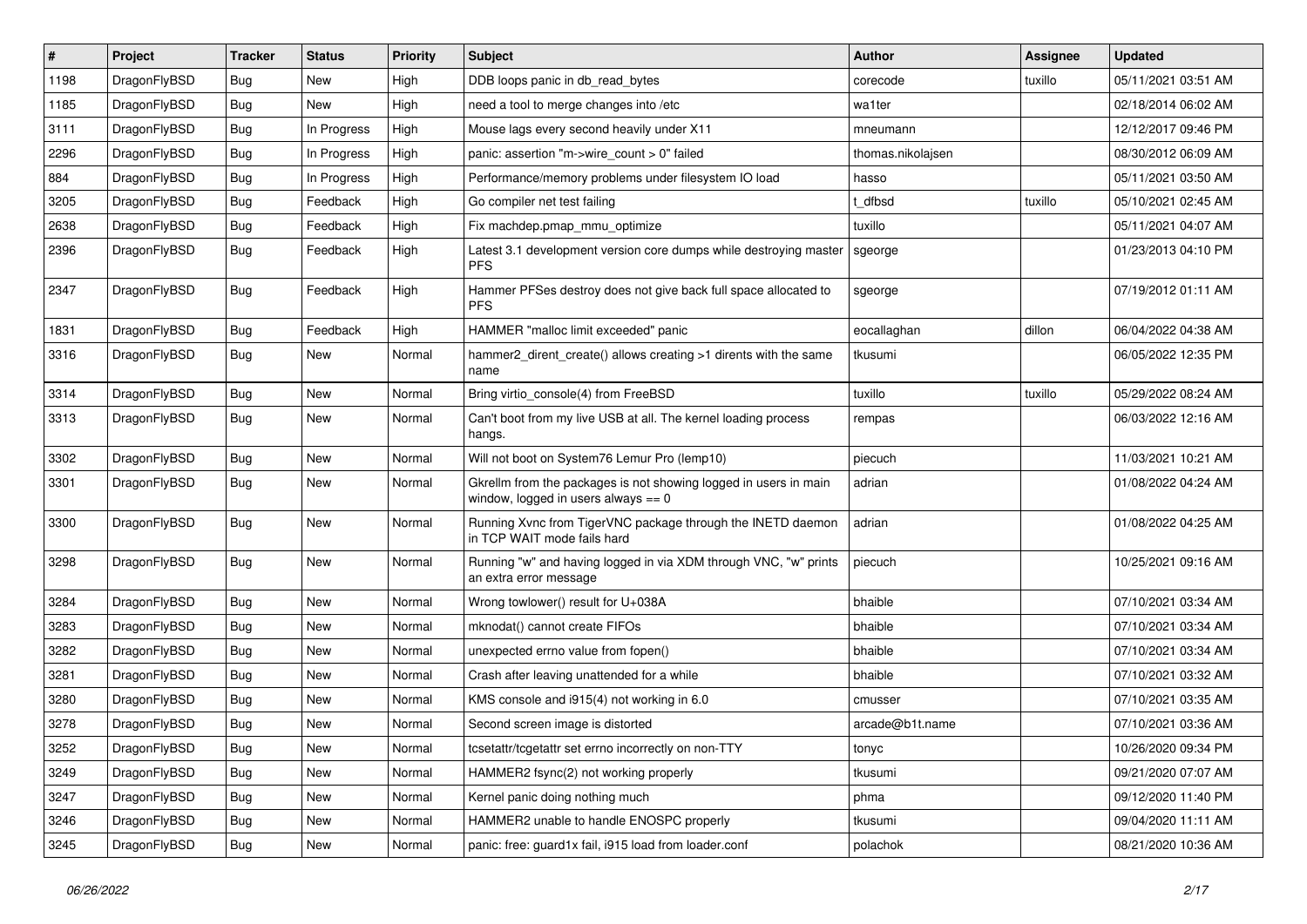| $\vert$ # | Project      | <b>Tracker</b> | <b>Status</b> | <b>Priority</b> | <b>Subject</b>                                                                                            | <b>Author</b>     | <b>Assignee</b> | <b>Updated</b>      |
|-----------|--------------|----------------|---------------|-----------------|-----------------------------------------------------------------------------------------------------------|-------------------|-----------------|---------------------|
| 1198      | DragonFlyBSD | <b>Bug</b>     | <b>New</b>    | High            | DDB loops panic in db_read_bytes                                                                          | corecode          | tuxillo         | 05/11/2021 03:51 AM |
| 1185      | DragonFlyBSD | <b>Bug</b>     | <b>New</b>    | High            | need a tool to merge changes into /etc                                                                    | wa1ter            |                 | 02/18/2014 06:02 AM |
| 3111      | DragonFlyBSD | <b>Bug</b>     | In Progress   | High            | Mouse lags every second heavily under X11                                                                 | mneumann          |                 | 12/12/2017 09:46 PM |
| 2296      | DragonFlyBSD | Bug            | In Progress   | High            | panic: assertion "m->wire_count > 0" failed                                                               | thomas.nikolajsen |                 | 08/30/2012 06:09 AM |
| 884       | DragonFlyBSD | <b>Bug</b>     | In Progress   | High            | Performance/memory problems under filesystem IO load                                                      | hasso             |                 | 05/11/2021 03:50 AM |
| 3205      | DragonFlyBSD | <b>Bug</b>     | Feedback      | High            | Go compiler net test failing                                                                              | dfbsd             | tuxillo         | 05/10/2021 02:45 AM |
| 2638      | DragonFlyBSD | <b>Bug</b>     | Feedback      | High            | Fix machdep.pmap_mmu_optimize                                                                             | tuxillo           |                 | 05/11/2021 04:07 AM |
| 2396      | DragonFlyBSD | Bug            | Feedback      | High            | Latest 3.1 development version core dumps while destroying master<br><b>PFS</b>                           | sgeorge           |                 | 01/23/2013 04:10 PM |
| 2347      | DragonFlyBSD | Bug            | Feedback      | High            | Hammer PFSes destroy does not give back full space allocated to<br><b>PFS</b>                             | sgeorge           |                 | 07/19/2012 01:11 AM |
| 1831      | DragonFlyBSD | <b>Bug</b>     | Feedback      | High            | HAMMER "malloc limit exceeded" panic                                                                      | eocallaghan       | dillon          | 06/04/2022 04:38 AM |
| 3316      | DragonFlyBSD | Bug            | <b>New</b>    | Normal          | hammer2 dirent create() allows creating >1 dirents with the same<br>name                                  | tkusumi           |                 | 06/05/2022 12:35 PM |
| 3314      | DragonFlyBSD | Bug            | <b>New</b>    | Normal          | Bring virtio console(4) from FreeBSD                                                                      | tuxillo           | tuxillo         | 05/29/2022 08:24 AM |
| 3313      | DragonFlyBSD | Bug            | New           | Normal          | Can't boot from my live USB at all. The kernel loading process<br>hangs.                                  | rempas            |                 | 06/03/2022 12:16 AM |
| 3302      | DragonFlyBSD | <b>Bug</b>     | New           | Normal          | Will not boot on System76 Lemur Pro (lemp10)                                                              | piecuch           |                 | 11/03/2021 10:21 AM |
| 3301      | DragonFlyBSD | Bug            | <b>New</b>    | Normal          | Gkrellm from the packages is not showing logged in users in main<br>window, logged in users always $== 0$ | adrian            |                 | 01/08/2022 04:24 AM |
| 3300      | DragonFlyBSD | <b>Bug</b>     | <b>New</b>    | Normal          | Running Xvnc from TigerVNC package through the INETD daemon<br>in TCP WAIT mode fails hard                | adrian            |                 | 01/08/2022 04:25 AM |
| 3298      | DragonFlyBSD | Bug            | <b>New</b>    | Normal          | Running "w" and having logged in via XDM through VNC, "w" prints<br>an extra error message                | piecuch           |                 | 10/25/2021 09:16 AM |
| 3284      | DragonFlyBSD | <b>Bug</b>     | <b>New</b>    | Normal          | Wrong towlower() result for U+038A                                                                        | bhaible           |                 | 07/10/2021 03:34 AM |
| 3283      | DragonFlyBSD | Bug            | <b>New</b>    | Normal          | mknodat() cannot create FIFOs                                                                             | bhaible           |                 | 07/10/2021 03:34 AM |
| 3282      | DragonFlyBSD | <b>Bug</b>     | <b>New</b>    | Normal          | unexpected errno value from fopen()                                                                       | bhaible           |                 | 07/10/2021 03:34 AM |
| 3281      | DragonFlyBSD | <b>Bug</b>     | <b>New</b>    | Normal          | Crash after leaving unattended for a while                                                                | bhaible           |                 | 07/10/2021 03:32 AM |
| 3280      | DragonFlyBSD | <b>Bug</b>     | <b>New</b>    | Normal          | KMS console and i915(4) not working in 6.0                                                                | cmusser           |                 | 07/10/2021 03:35 AM |
| 3278      | DragonFlyBSD | <b>Bug</b>     | <b>New</b>    | Normal          | Second screen image is distorted                                                                          | arcade@b1t.name   |                 | 07/10/2021 03:36 AM |
| 3252      | DragonFlyBSD | Bug            | New           | Normal          | tcsetattr/tcgetattr set errno incorrectly on non-TTY                                                      | tonyc             |                 | 10/26/2020 09:34 PM |
| 3249      | DragonFlyBSD | Bug            | New           | Normal          | HAMMER2 fsync(2) not working properly                                                                     | tkusumi           |                 | 09/21/2020 07:07 AM |
| 3247      | DragonFlyBSD | <b>Bug</b>     | New           | Normal          | Kernel panic doing nothing much                                                                           | phma              |                 | 09/12/2020 11:40 PM |
| 3246      | DragonFlyBSD | <b>Bug</b>     | New           | Normal          | HAMMER2 unable to handle ENOSPC properly                                                                  | tkusumi           |                 | 09/04/2020 11:11 AM |
| 3245      | DragonFlyBSD | <b>Bug</b>     | New           | Normal          | panic: free: guard1x fail, i915 load from loader.conf                                                     | polachok          |                 | 08/21/2020 10:36 AM |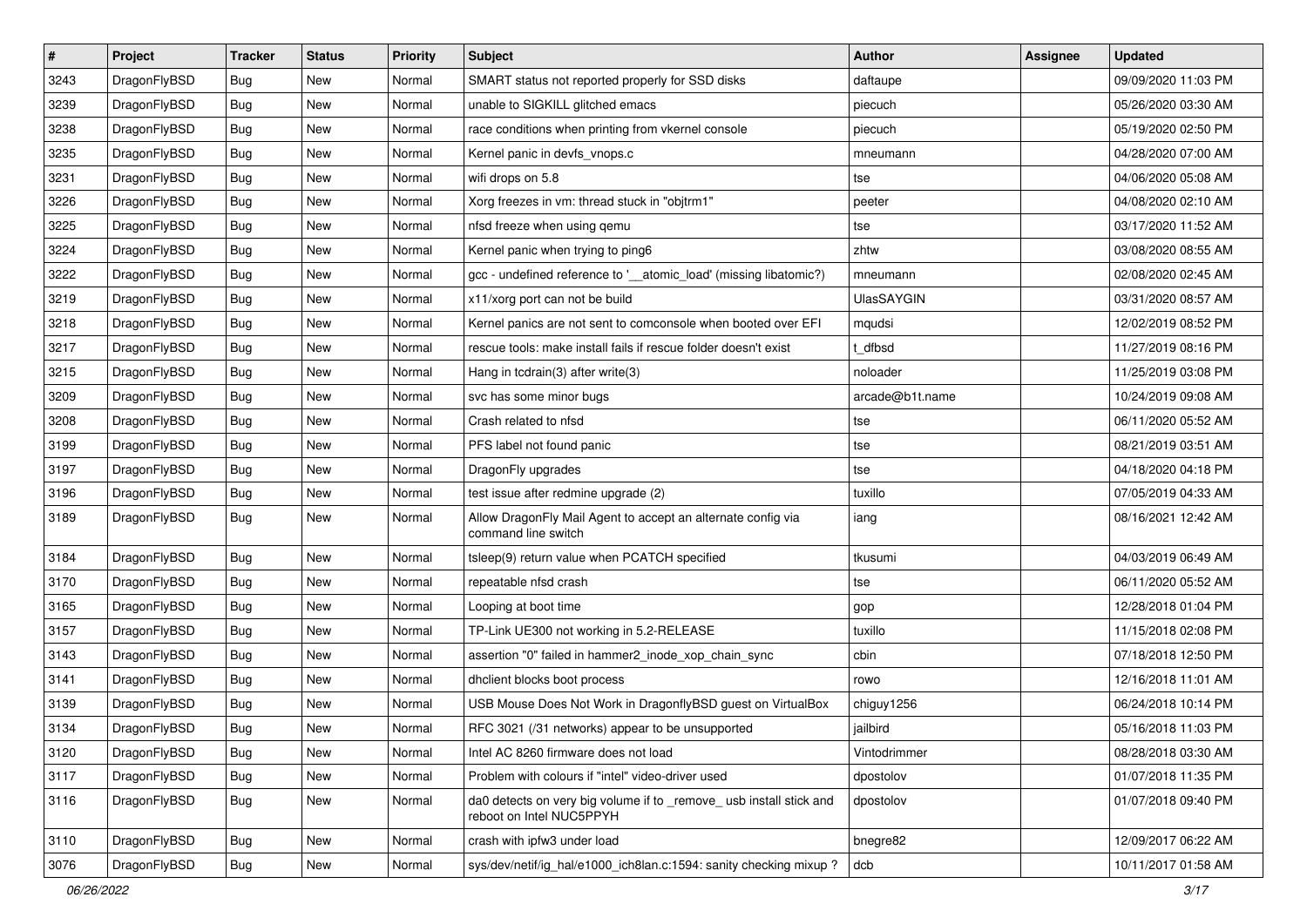| $\sharp$ | Project      | <b>Tracker</b> | <b>Status</b> | <b>Priority</b> | Subject                                                                                         | Author            | <b>Assignee</b> | <b>Updated</b>      |
|----------|--------------|----------------|---------------|-----------------|-------------------------------------------------------------------------------------------------|-------------------|-----------------|---------------------|
| 3243     | DragonFlyBSD | Bug            | New           | Normal          | SMART status not reported properly for SSD disks                                                | daftaupe          |                 | 09/09/2020 11:03 PM |
| 3239     | DragonFlyBSD | Bug            | <b>New</b>    | Normal          | unable to SIGKILL glitched emacs                                                                | piecuch           |                 | 05/26/2020 03:30 AM |
| 3238     | DragonFlyBSD | Bug            | <b>New</b>    | Normal          | race conditions when printing from vkernel console                                              | piecuch           |                 | 05/19/2020 02:50 PM |
| 3235     | DragonFlyBSD | <b>Bug</b>     | New           | Normal          | Kernel panic in devfs_vnops.c                                                                   | mneumann          |                 | 04/28/2020 07:00 AM |
| 3231     | DragonFlyBSD | Bug            | <b>New</b>    | Normal          | wifi drops on 5.8                                                                               | tse               |                 | 04/06/2020 05:08 AM |
| 3226     | DragonFlyBSD | <b>Bug</b>     | <b>New</b>    | Normal          | Xorg freezes in vm: thread stuck in "objtrm1"                                                   | peeter            |                 | 04/08/2020 02:10 AM |
| 3225     | DragonFlyBSD | Bug            | New           | Normal          | nfsd freeze when using qemu                                                                     | tse               |                 | 03/17/2020 11:52 AM |
| 3224     | DragonFlyBSD | <b>Bug</b>     | <b>New</b>    | Normal          | Kernel panic when trying to ping6                                                               | zhtw              |                 | 03/08/2020 08:55 AM |
| 3222     | DragonFlyBSD | Bug            | New           | Normal          | gcc - undefined reference to '__atomic_load' (missing libatomic?)                               | mneumann          |                 | 02/08/2020 02:45 AM |
| 3219     | DragonFlyBSD | Bug            | <b>New</b>    | Normal          | x11/xorg port can not be build                                                                  | <b>UlasSAYGIN</b> |                 | 03/31/2020 08:57 AM |
| 3218     | DragonFlyBSD | Bug            | <b>New</b>    | Normal          | Kernel panics are not sent to comconsole when booted over EFI                                   | mqudsi            |                 | 12/02/2019 08:52 PM |
| 3217     | DragonFlyBSD | Bug            | New           | Normal          | rescue tools: make install fails if rescue folder doesn't exist                                 | t_dfbsd           |                 | 11/27/2019 08:16 PM |
| 3215     | DragonFlyBSD | Bug            | New           | Normal          | Hang in tcdrain(3) after write(3)                                                               | noloader          |                 | 11/25/2019 03:08 PM |
| 3209     | DragonFlyBSD | Bug            | <b>New</b>    | Normal          | svc has some minor bugs                                                                         | arcade@b1t.name   |                 | 10/24/2019 09:08 AM |
| 3208     | DragonFlyBSD | Bug            | <b>New</b>    | Normal          | Crash related to nfsd                                                                           | tse               |                 | 06/11/2020 05:52 AM |
| 3199     | DragonFlyBSD | <b>Bug</b>     | <b>New</b>    | Normal          | PFS label not found panic                                                                       | tse               |                 | 08/21/2019 03:51 AM |
| 3197     | DragonFlyBSD | Bug            | New           | Normal          | DragonFly upgrades                                                                              | tse               |                 | 04/18/2020 04:18 PM |
| 3196     | DragonFlyBSD | Bug            | <b>New</b>    | Normal          | test issue after redmine upgrade (2)                                                            | tuxillo           |                 | 07/05/2019 04:33 AM |
| 3189     | DragonFlyBSD | Bug            | New           | Normal          | Allow DragonFly Mail Agent to accept an alternate config via<br>command line switch             | iang              |                 | 08/16/2021 12:42 AM |
| 3184     | DragonFlyBSD | Bug            | <b>New</b>    | Normal          | tsleep(9) return value when PCATCH specified                                                    | tkusumi           |                 | 04/03/2019 06:49 AM |
| 3170     | DragonFlyBSD | Bug            | <b>New</b>    | Normal          | repeatable nfsd crash                                                                           | tse               |                 | 06/11/2020 05:52 AM |
| 3165     | DragonFlyBSD | <b>Bug</b>     | <b>New</b>    | Normal          | Looping at boot time                                                                            | gop               |                 | 12/28/2018 01:04 PM |
| 3157     | DragonFlyBSD | <b>Bug</b>     | New           | Normal          | TP-Link UE300 not working in 5.2-RELEASE                                                        | tuxillo           |                 | 11/15/2018 02:08 PM |
| 3143     | DragonFlyBSD | Bug            | <b>New</b>    | Normal          | assertion "0" failed in hammer2_inode_xop_chain_sync                                            | cbin              |                 | 07/18/2018 12:50 PM |
| 3141     | DragonFlyBSD | Bug            | <b>New</b>    | Normal          | dhclient blocks boot process                                                                    | rowo              |                 | 12/16/2018 11:01 AM |
| 3139     | DragonFlyBSD | Bug            | <b>New</b>    | Normal          | USB Mouse Does Not Work in DragonflyBSD guest on VirtualBox                                     | chiguy1256        |                 | 06/24/2018 10:14 PM |
| 3134     | DragonFlyBSD | Bug            | New           | Normal          | RFC 3021 (/31 networks) appear to be unsupported                                                | jailbird          |                 | 05/16/2018 11:03 PM |
| 3120     | DragonFlyBSD | Bug            | New           | Normal          | Intel AC 8260 firmware does not load                                                            | Vintodrimmer      |                 | 08/28/2018 03:30 AM |
| 3117     | DragonFlyBSD | <b>Bug</b>     | New           | Normal          | Problem with colours if "intel" video-driver used                                               | dpostolov         |                 | 01/07/2018 11:35 PM |
| 3116     | DragonFlyBSD | Bug            | <b>New</b>    | Normal          | da0 detects on very big volume if to _remove_ usb install stick and<br>reboot on Intel NUC5PPYH | dpostolov         |                 | 01/07/2018 09:40 PM |
| 3110     | DragonFlyBSD | Bug            | New           | Normal          | crash with ipfw3 under load                                                                     | bnegre82          |                 | 12/09/2017 06:22 AM |
| 3076     | DragonFlyBSD | <b>Bug</b>     | New           | Normal          | sys/dev/netif/ig_hal/e1000_ich8lan.c:1594: sanity checking mixup?                               | dcb               |                 | 10/11/2017 01:58 AM |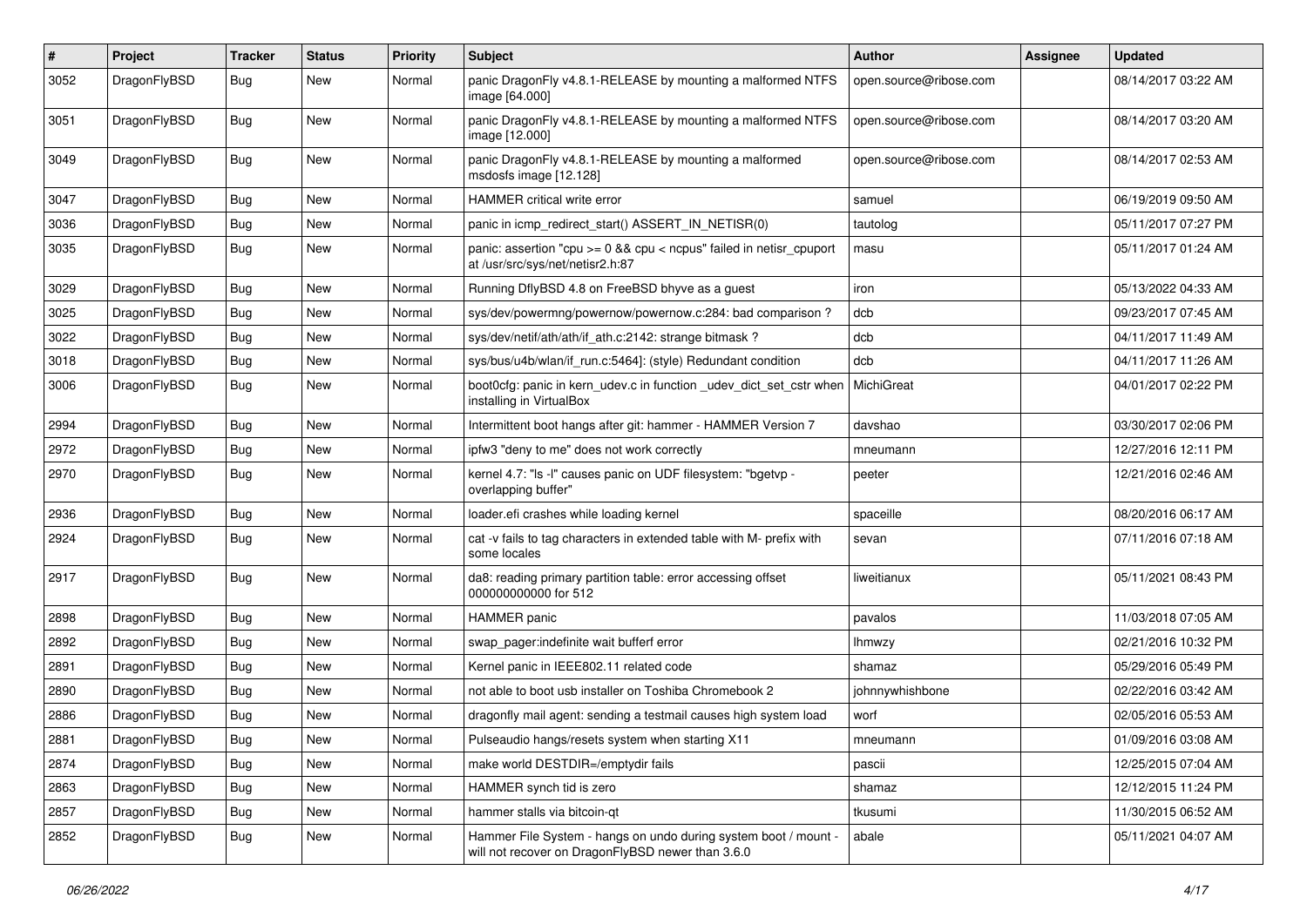| $\#$ | Project      | <b>Tracker</b> | <b>Status</b> | <b>Priority</b> | <b>Subject</b>                                                                                                       | Author                 | Assignee | <b>Updated</b>      |
|------|--------------|----------------|---------------|-----------------|----------------------------------------------------------------------------------------------------------------------|------------------------|----------|---------------------|
| 3052 | DragonFlyBSD | <b>Bug</b>     | <b>New</b>    | Normal          | panic DragonFly v4.8.1-RELEASE by mounting a malformed NTFS<br>image [64.000]                                        | open.source@ribose.com |          | 08/14/2017 03:22 AM |
| 3051 | DragonFlyBSD | <b>Bug</b>     | <b>New</b>    | Normal          | panic DragonFly v4.8.1-RELEASE by mounting a malformed NTFS<br>image [12.000]                                        | open.source@ribose.com |          | 08/14/2017 03:20 AM |
| 3049 | DragonFlyBSD | Bug            | <b>New</b>    | Normal          | panic DragonFly v4.8.1-RELEASE by mounting a malformed<br>msdosfs image [12.128]                                     | open.source@ribose.com |          | 08/14/2017 02:53 AM |
| 3047 | DragonFlyBSD | Bug            | New           | Normal          | HAMMER critical write error                                                                                          | samuel                 |          | 06/19/2019 09:50 AM |
| 3036 | DragonFlyBSD | Bug            | New           | Normal          | panic in icmp redirect start() ASSERT IN NETISR(0)                                                                   | tautolog               |          | 05/11/2017 07:27 PM |
| 3035 | DragonFlyBSD | <b>Bug</b>     | New           | Normal          | panic: assertion "cpu >= 0 && cpu < ncpus" failed in netisr_cpuport<br>at /usr/src/sys/net/netisr2.h:87              | masu                   |          | 05/11/2017 01:24 AM |
| 3029 | DragonFlyBSD | Bug            | <b>New</b>    | Normal          | Running DflyBSD 4.8 on FreeBSD bhyve as a guest                                                                      | iron                   |          | 05/13/2022 04:33 AM |
| 3025 | DragonFlyBSD | <b>Bug</b>     | New           | Normal          | sys/dev/powermng/powernow/powernow.c:284: bad comparison?                                                            | dcb                    |          | 09/23/2017 07:45 AM |
| 3022 | DragonFlyBSD | Bug            | <b>New</b>    | Normal          | sys/dev/netif/ath/ath/if_ath.c:2142: strange bitmask?                                                                | dcb                    |          | 04/11/2017 11:49 AM |
| 3018 | DragonFlyBSD | Bug            | <b>New</b>    | Normal          | sys/bus/u4b/wlan/if_run.c:5464]: (style) Redundant condition                                                         | dcb                    |          | 04/11/2017 11:26 AM |
| 3006 | DragonFlyBSD | Bug            | New           | Normal          | boot0cfg: panic in kern_udev.c in function _udev_dict_set_cstr when<br>installing in VirtualBox                      | MichiGreat             |          | 04/01/2017 02:22 PM |
| 2994 | DragonFlyBSD | Bug            | New           | Normal          | Intermittent boot hangs after git: hammer - HAMMER Version 7                                                         | davshao                |          | 03/30/2017 02:06 PM |
| 2972 | DragonFlyBSD | <b>Bug</b>     | <b>New</b>    | Normal          | ipfw3 "deny to me" does not work correctly                                                                           | mneumann               |          | 12/27/2016 12:11 PM |
| 2970 | DragonFlyBSD | Bug            | <b>New</b>    | Normal          | kernel 4.7: "Is -I" causes panic on UDF filesystem: "bgetvp -<br>overlapping buffer"                                 | peeter                 |          | 12/21/2016 02:46 AM |
| 2936 | DragonFlyBSD | Bug            | <b>New</b>    | Normal          | loader.efi crashes while loading kernel                                                                              | spaceille              |          | 08/20/2016 06:17 AM |
| 2924 | DragonFlyBSD | <b>Bug</b>     | New           | Normal          | cat -v fails to tag characters in extended table with M- prefix with<br>some locales                                 | sevan                  |          | 07/11/2016 07:18 AM |
| 2917 | DragonFlyBSD | Bug            | New           | Normal          | da8: reading primary partition table: error accessing offset<br>000000000000 for 512                                 | liweitianux            |          | 05/11/2021 08:43 PM |
| 2898 | DragonFlyBSD | <b>Bug</b>     | <b>New</b>    | Normal          | <b>HAMMER</b> panic                                                                                                  | pavalos                |          | 11/03/2018 07:05 AM |
| 2892 | DragonFlyBSD | Bug            | New           | Normal          | swap pager:indefinite wait bufferf error                                                                             | <b>Ihmwzy</b>          |          | 02/21/2016 10:32 PM |
| 2891 | DragonFlyBSD | <b>Bug</b>     | New           | Normal          | Kernel panic in IEEE802.11 related code                                                                              | shamaz                 |          | 05/29/2016 05:49 PM |
| 2890 | DragonFlyBSD | Bug            | New           | Normal          | not able to boot usb installer on Toshiba Chromebook 2                                                               | johnnywhishbone        |          | 02/22/2016 03:42 AM |
| 2886 | DragonFlyBSD | Bug            | New           | Normal          | dragonfly mail agent: sending a testmail causes high system load                                                     | worf                   |          | 02/05/2016 05:53 AM |
| 2881 | DragonFlyBSD | <b>Bug</b>     | New           | Normal          | Pulseaudio hangs/resets system when starting X11                                                                     | mneumann               |          | 01/09/2016 03:08 AM |
| 2874 | DragonFlyBSD | Bug            | New           | Normal          | make world DESTDIR=/emptydir fails                                                                                   | pascii                 |          | 12/25/2015 07:04 AM |
| 2863 | DragonFlyBSD | <b>Bug</b>     | New           | Normal          | HAMMER synch tid is zero                                                                                             | shamaz                 |          | 12/12/2015 11:24 PM |
| 2857 | DragonFlyBSD | Bug            | New           | Normal          | hammer stalls via bitcoin-qt                                                                                         | tkusumi                |          | 11/30/2015 06:52 AM |
| 2852 | DragonFlyBSD | <b>Bug</b>     | New           | Normal          | Hammer File System - hangs on undo during system boot / mount -<br>will not recover on DragonFlyBSD newer than 3.6.0 | abale                  |          | 05/11/2021 04:07 AM |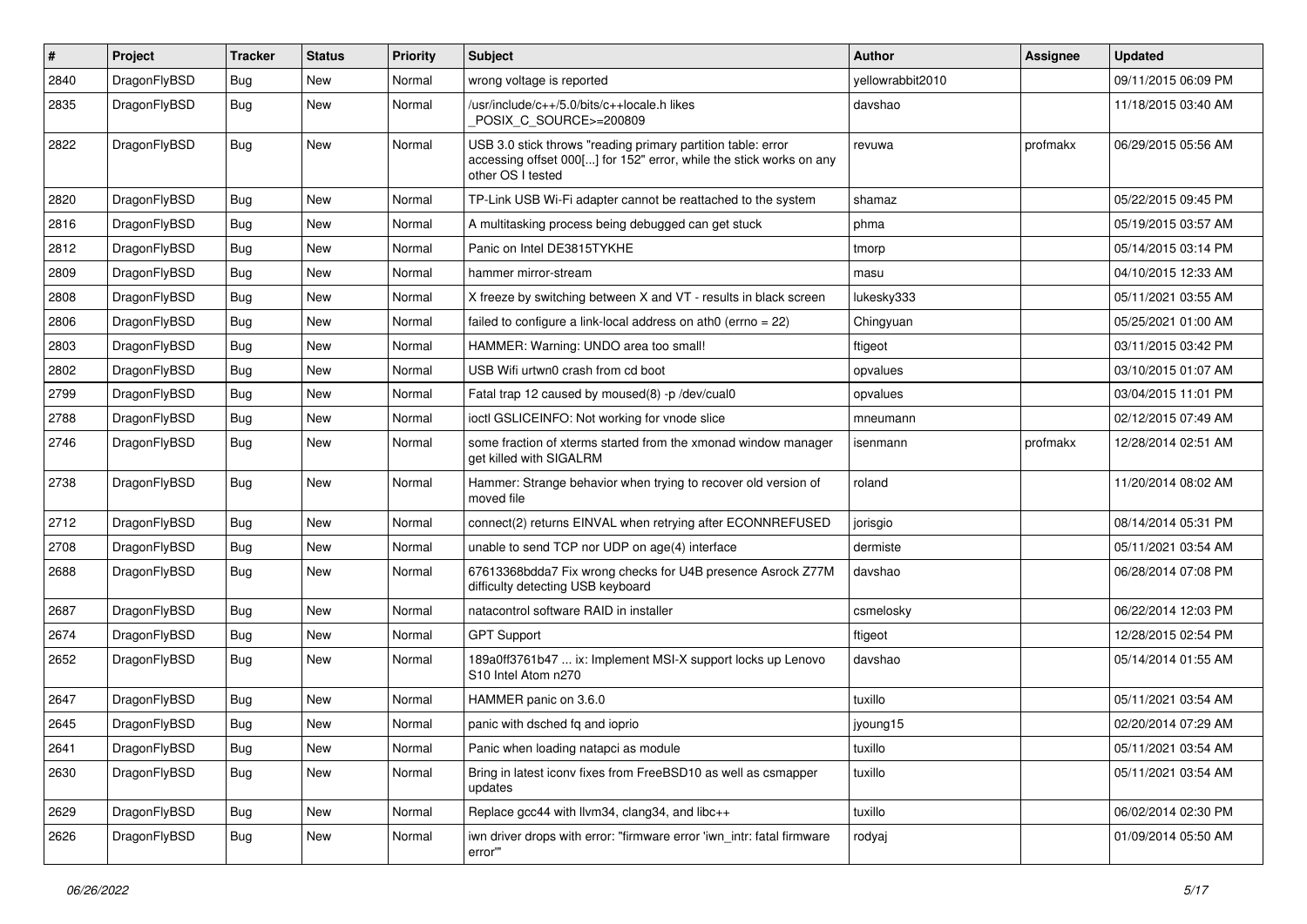| #    | Project      | <b>Tracker</b> | <b>Status</b> | <b>Priority</b> | Subject                                                                                                                                                  | <b>Author</b>    | Assignee | <b>Updated</b>      |
|------|--------------|----------------|---------------|-----------------|----------------------------------------------------------------------------------------------------------------------------------------------------------|------------------|----------|---------------------|
| 2840 | DragonFlyBSD | Bug            | <b>New</b>    | Normal          | wrong voltage is reported                                                                                                                                | yellowrabbit2010 |          | 09/11/2015 06:09 PM |
| 2835 | DragonFlyBSD | <b>Bug</b>     | <b>New</b>    | Normal          | /usr/include/c++/5.0/bits/c++locale.h likes<br>POSIX_C_SOURCE>=200809                                                                                    | davshao          |          | 11/18/2015 03:40 AM |
| 2822 | DragonFlyBSD | Bug            | <b>New</b>    | Normal          | USB 3.0 stick throws "reading primary partition table: error<br>accessing offset 000[] for 152" error, while the stick works on any<br>other OS I tested | revuwa           | profmakx | 06/29/2015 05:56 AM |
| 2820 | DragonFlyBSD | Bug            | <b>New</b>    | Normal          | TP-Link USB Wi-Fi adapter cannot be reattached to the system                                                                                             | shamaz           |          | 05/22/2015 09:45 PM |
| 2816 | DragonFlyBSD | <b>Bug</b>     | <b>New</b>    | Normal          | A multitasking process being debugged can get stuck                                                                                                      | phma             |          | 05/19/2015 03:57 AM |
| 2812 | DragonFlyBSD | Bug            | <b>New</b>    | Normal          | Panic on Intel DE3815TYKHE                                                                                                                               | tmorp            |          | 05/14/2015 03:14 PM |
| 2809 | DragonFlyBSD | <b>Bug</b>     | <b>New</b>    | Normal          | hammer mirror-stream                                                                                                                                     | masu             |          | 04/10/2015 12:33 AM |
| 2808 | DragonFlyBSD | <b>Bug</b>     | New           | Normal          | X freeze by switching between X and VT - results in black screen                                                                                         | lukesky333       |          | 05/11/2021 03:55 AM |
| 2806 | DragonFlyBSD | <b>Bug</b>     | New           | Normal          | failed to configure a link-local address on ath0 (errno = 22)                                                                                            | Chingyuan        |          | 05/25/2021 01:00 AM |
| 2803 | DragonFlyBSD | Bug            | <b>New</b>    | Normal          | HAMMER: Warning: UNDO area too small!                                                                                                                    | ftigeot          |          | 03/11/2015 03:42 PM |
| 2802 | DragonFlyBSD | Bug            | <b>New</b>    | Normal          | USB Wifi urtwn0 crash from cd boot                                                                                                                       | opvalues         |          | 03/10/2015 01:07 AM |
| 2799 | DragonFlyBSD | Bug            | <b>New</b>    | Normal          | Fatal trap 12 caused by moused(8) -p /dev/cual0                                                                                                          | opvalues         |          | 03/04/2015 11:01 PM |
| 2788 | DragonFlyBSD | <b>Bug</b>     | New           | Normal          | ioctl GSLICEINFO: Not working for vnode slice                                                                                                            | mneumann         |          | 02/12/2015 07:49 AM |
| 2746 | DragonFlyBSD | <b>Bug</b>     | New           | Normal          | some fraction of xterms started from the xmonad window manager<br>get killed with SIGALRM                                                                | isenmann         | profmakx | 12/28/2014 02:51 AM |
| 2738 | DragonFlyBSD | <b>Bug</b>     | <b>New</b>    | Normal          | Hammer: Strange behavior when trying to recover old version of<br>moved file                                                                             | roland           |          | 11/20/2014 08:02 AM |
| 2712 | DragonFlyBSD | Bug            | New           | Normal          | connect(2) returns EINVAL when retrying after ECONNREFUSED                                                                                               | jorisgio         |          | 08/14/2014 05:31 PM |
| 2708 | DragonFlyBSD | Bug            | New           | Normal          | unable to send TCP nor UDP on age(4) interface                                                                                                           | dermiste         |          | 05/11/2021 03:54 AM |
| 2688 | DragonFlyBSD | Bug            | New           | Normal          | 67613368bdda7 Fix wrong checks for U4B presence Asrock Z77M<br>difficulty detecting USB keyboard                                                         | davshao          |          | 06/28/2014 07:08 PM |
| 2687 | DragonFlyBSD | Bug            | <b>New</b>    | Normal          | natacontrol software RAID in installer                                                                                                                   | csmelosky        |          | 06/22/2014 12:03 PM |
| 2674 | DragonFlyBSD | <b>Bug</b>     | <b>New</b>    | Normal          | <b>GPT Support</b>                                                                                                                                       | ftigeot          |          | 12/28/2015 02:54 PM |
| 2652 | DragonFlyBSD | <b>Bug</b>     | New           | Normal          | 189a0ff3761b47  ix: Implement MSI-X support locks up Lenovo<br>S10 Intel Atom n270                                                                       | davshao          |          | 05/14/2014 01:55 AM |
| 2647 | DragonFlyBSD | Bug            | New           | Normal          | HAMMER panic on 3.6.0                                                                                                                                    | tuxillo          |          | 05/11/2021 03:54 AM |
| 2645 | DragonFlyBSD | Bug            | <b>New</b>    | Normal          | panic with dsched fq and ioprio                                                                                                                          | jyoung15         |          | 02/20/2014 07:29 AM |
| 2641 | DragonFlyBSD | <b>Bug</b>     | New           | Normal          | Panic when loading natapci as module                                                                                                                     | tuxillo          |          | 05/11/2021 03:54 AM |
| 2630 | DragonFlyBSD | <b>Bug</b>     | New           | Normal          | Bring in latest iconv fixes from FreeBSD10 as well as csmapper<br>updates                                                                                | tuxillo          |          | 05/11/2021 03:54 AM |
| 2629 | DragonFlyBSD | <b>Bug</b>     | <b>New</b>    | Normal          | Replace gcc44 with llvm34, clang34, and libc++                                                                                                           | tuxillo          |          | 06/02/2014 02:30 PM |
| 2626 | DragonFlyBSD | <b>Bug</b>     | New           | Normal          | iwn driver drops with error: "firmware error 'iwn_intr: fatal firmware<br>error"                                                                         | rodyaj           |          | 01/09/2014 05:50 AM |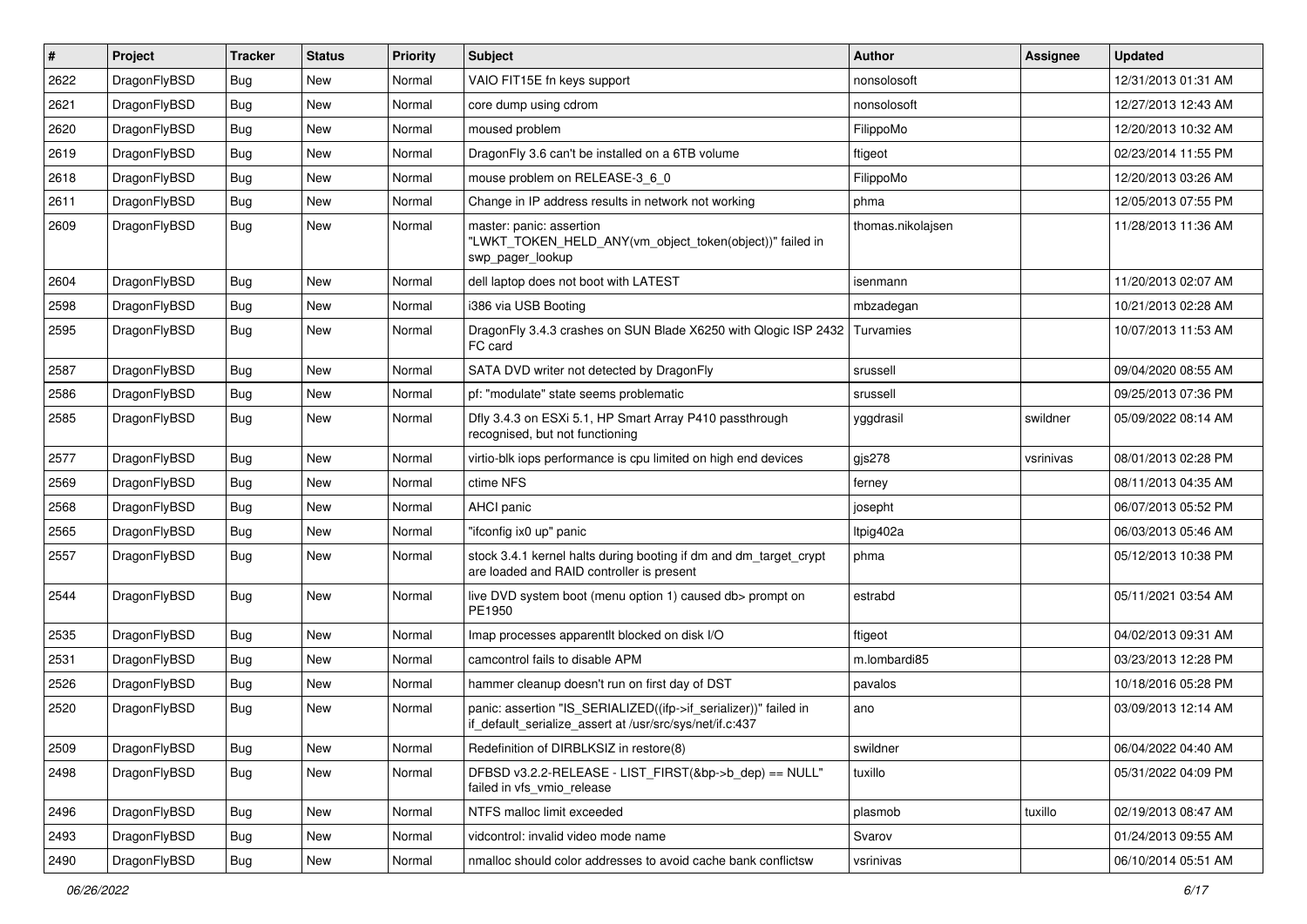| #    | Project      | <b>Tracker</b> | <b>Status</b> | <b>Priority</b> | Subject                                                                                                                      | <b>Author</b>     | Assignee  | <b>Updated</b>      |
|------|--------------|----------------|---------------|-----------------|------------------------------------------------------------------------------------------------------------------------------|-------------------|-----------|---------------------|
| 2622 | DragonFlyBSD | Bug            | New           | Normal          | VAIO FIT15E fn keys support                                                                                                  | nonsolosoft       |           | 12/31/2013 01:31 AM |
| 2621 | DragonFlyBSD | Bug            | <b>New</b>    | Normal          | core dump using cdrom                                                                                                        | nonsolosoft       |           | 12/27/2013 12:43 AM |
| 2620 | DragonFlyBSD | <b>Bug</b>     | New           | Normal          | moused problem                                                                                                               | FilippoMo         |           | 12/20/2013 10:32 AM |
| 2619 | DragonFlyBSD | <b>Bug</b>     | New           | Normal          | DragonFly 3.6 can't be installed on a 6TB volume                                                                             | ftigeot           |           | 02/23/2014 11:55 PM |
| 2618 | DragonFlyBSD | <b>Bug</b>     | <b>New</b>    | Normal          | mouse problem on RELEASE-3_6_0                                                                                               | FilippoMo         |           | 12/20/2013 03:26 AM |
| 2611 | DragonFlyBSD | <b>Bug</b>     | New           | Normal          | Change in IP address results in network not working                                                                          | phma              |           | 12/05/2013 07:55 PM |
| 2609 | DragonFlyBSD | Bug            | <b>New</b>    | Normal          | master: panic: assertion<br>"LWKT_TOKEN_HELD_ANY(vm_object_token(object))" failed in<br>swp pager lookup                     | thomas.nikolajsen |           | 11/28/2013 11:36 AM |
| 2604 | DragonFlyBSD | Bug            | <b>New</b>    | Normal          | dell laptop does not boot with LATEST                                                                                        | isenmann          |           | 11/20/2013 02:07 AM |
| 2598 | DragonFlyBSD | <b>Bug</b>     | <b>New</b>    | Normal          | i386 via USB Booting                                                                                                         | mbzadegan         |           | 10/21/2013 02:28 AM |
| 2595 | DragonFlyBSD | <b>Bug</b>     | New           | Normal          | DragonFly 3.4.3 crashes on SUN Blade X6250 with Qlogic ISP 2432 Turvamies<br>FC card                                         |                   |           | 10/07/2013 11:53 AM |
| 2587 | DragonFlyBSD | <b>Bug</b>     | <b>New</b>    | Normal          | SATA DVD writer not detected by DragonFly                                                                                    | srussell          |           | 09/04/2020 08:55 AM |
| 2586 | DragonFlyBSD | <b>Bug</b>     | <b>New</b>    | Normal          | pf: "modulate" state seems problematic                                                                                       | srussell          |           | 09/25/2013 07:36 PM |
| 2585 | DragonFlyBSD | <b>Bug</b>     | New           | Normal          | Dfly 3.4.3 on ESXi 5.1, HP Smart Array P410 passthrough<br>recognised, but not functioning                                   | yggdrasil         | swildner  | 05/09/2022 08:14 AM |
| 2577 | DragonFlyBSD | Bug            | <b>New</b>    | Normal          | virtio-blk iops performance is cpu limited on high end devices                                                               | gjs278            | vsrinivas | 08/01/2013 02:28 PM |
| 2569 | DragonFlyBSD | <b>Bug</b>     | New           | Normal          | ctime NFS                                                                                                                    | ferney            |           | 08/11/2013 04:35 AM |
| 2568 | DragonFlyBSD | <b>Bug</b>     | <b>New</b>    | Normal          | AHCI panic                                                                                                                   | josepht           |           | 06/07/2013 05:52 PM |
| 2565 | DragonFlyBSD | <b>Bug</b>     | <b>New</b>    | Normal          | "ifconfig ix0 up" panic                                                                                                      | ltpig402a         |           | 06/03/2013 05:46 AM |
| 2557 | DragonFlyBSD | <b>Bug</b>     | New           | Normal          | stock 3.4.1 kernel halts during booting if dm and dm_target_crypt<br>are loaded and RAID controller is present               | phma              |           | 05/12/2013 10:38 PM |
| 2544 | DragonFlyBSD | <b>Bug</b>     | <b>New</b>    | Normal          | live DVD system boot (menu option 1) caused db> prompt on<br>PE1950                                                          | estrabd           |           | 05/11/2021 03:54 AM |
| 2535 | DragonFlyBSD | <b>Bug</b>     | <b>New</b>    | Normal          | Imap processes apparentlt blocked on disk I/O                                                                                | ftigeot           |           | 04/02/2013 09:31 AM |
| 2531 | DragonFlyBSD | <b>Bug</b>     | New           | Normal          | camcontrol fails to disable APM                                                                                              | m.lombardi85      |           | 03/23/2013 12:28 PM |
| 2526 | DragonFlyBSD | <b>Bug</b>     | <b>New</b>    | Normal          | hammer cleanup doesn't run on first day of DST                                                                               | pavalos           |           | 10/18/2016 05:28 PM |
| 2520 | DragonFlyBSD | <b>Bug</b>     | New           | Normal          | panic: assertion "IS_SERIALIZED((ifp->if_serializer))" failed in<br>if_default_serialize_assert at /usr/src/sys/net/if.c:437 | ano               |           | 03/09/2013 12:14 AM |
| 2509 | DragonFlyBSD | <b>Bug</b>     | New           | Normal          | Redefinition of DIRBLKSIZ in restore(8)                                                                                      | swildner          |           | 06/04/2022 04:40 AM |
| 2498 | DragonFlyBSD | <b>Bug</b>     | New           | Normal          | DFBSD v3.2.2-RELEASE - LIST_FIRST(&bp->b_dep) == NULL"<br>failed in vfs_vmio_release                                         | tuxillo           |           | 05/31/2022 04:09 PM |
| 2496 | DragonFlyBSD | Bug            | New           | Normal          | NTFS malloc limit exceeded                                                                                                   | plasmob           | tuxillo   | 02/19/2013 08:47 AM |
| 2493 | DragonFlyBSD | <b>Bug</b>     | New           | Normal          | vidcontrol: invalid video mode name                                                                                          | Svarov            |           | 01/24/2013 09:55 AM |
| 2490 | DragonFlyBSD | <b>Bug</b>     | New           | Normal          | nmalloc should color addresses to avoid cache bank conflictsw                                                                | vsrinivas         |           | 06/10/2014 05:51 AM |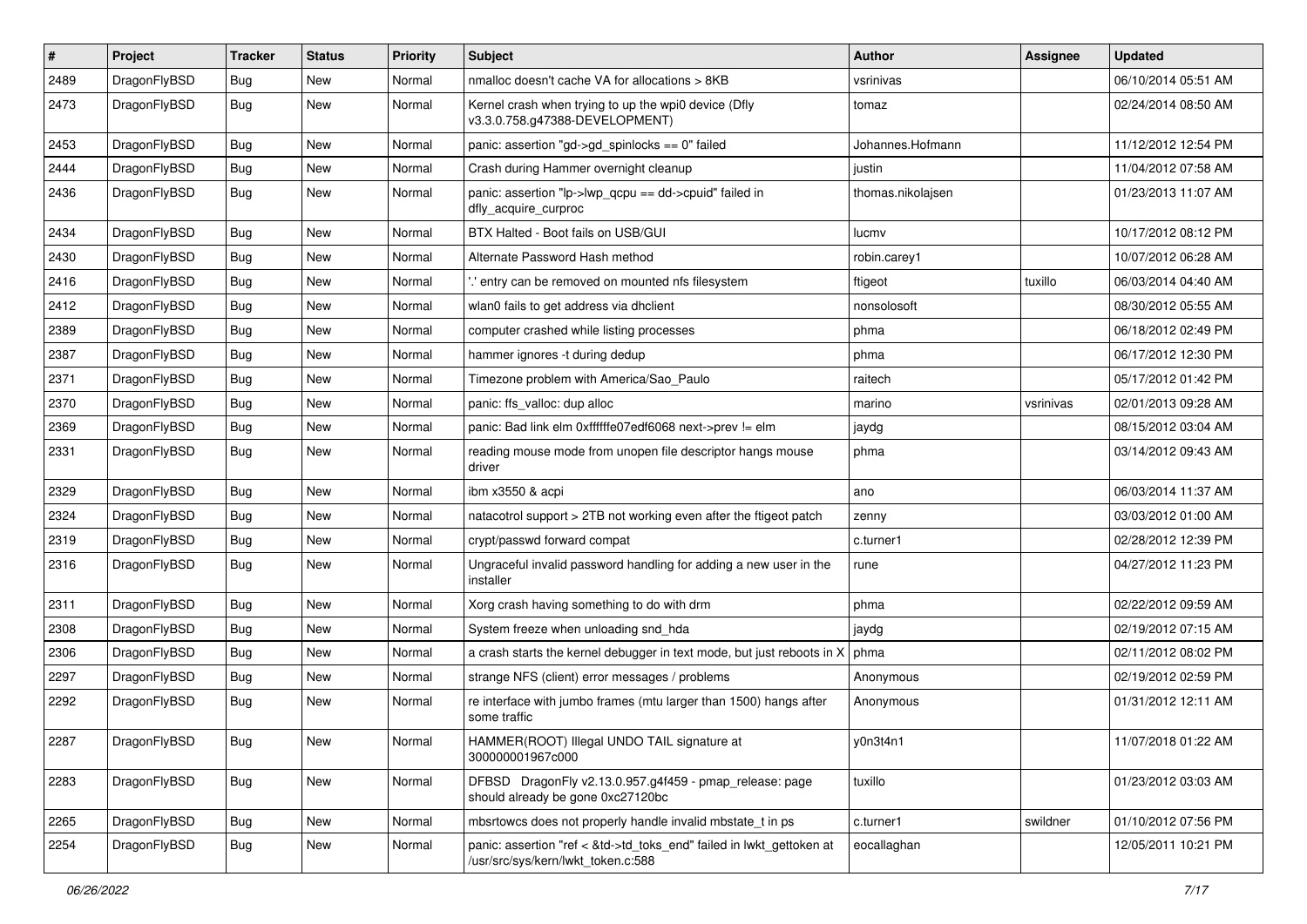| $\pmb{\#}$ | Project      | <b>Tracker</b> | <b>Status</b> | <b>Priority</b> | <b>Subject</b>                                                                                             | Author            | <b>Assignee</b> | <b>Updated</b>      |
|------------|--------------|----------------|---------------|-----------------|------------------------------------------------------------------------------------------------------------|-------------------|-----------------|---------------------|
| 2489       | DragonFlyBSD | Bug            | New           | Normal          | nmalloc doesn't cache VA for allocations > 8KB                                                             | vsrinivas         |                 | 06/10/2014 05:51 AM |
| 2473       | DragonFlyBSD | Bug            | New           | Normal          | Kernel crash when trying to up the wpi0 device (Dfly<br>v3.3.0.758.g47388-DEVELOPMENT)                     | tomaz             |                 | 02/24/2014 08:50 AM |
| 2453       | DragonFlyBSD | Bug            | <b>New</b>    | Normal          | panic: assertion "gd->gd_spinlocks == 0" failed                                                            | Johannes.Hofmann  |                 | 11/12/2012 12:54 PM |
| 2444       | DragonFlyBSD | <b>Bug</b>     | <b>New</b>    | Normal          | Crash during Hammer overnight cleanup                                                                      | justin            |                 | 11/04/2012 07:58 AM |
| 2436       | DragonFlyBSD | Bug            | New           | Normal          | panic: assertion "lp->lwp_qcpu == dd->cpuid" failed in<br>dfly_acquire_curproc                             | thomas.nikolajsen |                 | 01/23/2013 11:07 AM |
| 2434       | DragonFlyBSD | <b>Bug</b>     | New           | Normal          | BTX Halted - Boot fails on USB/GUI                                                                         | lucmv             |                 | 10/17/2012 08:12 PM |
| 2430       | DragonFlyBSD | Bug            | <b>New</b>    | Normal          | Alternate Password Hash method                                                                             | robin.carey1      |                 | 10/07/2012 06:28 AM |
| 2416       | DragonFlyBSD | Bug            | <b>New</b>    | Normal          | ".' entry can be removed on mounted nfs filesystem                                                         | ftigeot           | tuxillo         | 06/03/2014 04:40 AM |
| 2412       | DragonFlyBSD | Bug            | New           | Normal          | wlan0 fails to get address via dhclient                                                                    | nonsolosoft       |                 | 08/30/2012 05:55 AM |
| 2389       | DragonFlyBSD | Bug            | <b>New</b>    | Normal          | computer crashed while listing processes                                                                   | phma              |                 | 06/18/2012 02:49 PM |
| 2387       | DragonFlyBSD | Bug            | New           | Normal          | hammer ignores -t during dedup                                                                             | phma              |                 | 06/17/2012 12:30 PM |
| 2371       | DragonFlyBSD | <b>Bug</b>     | <b>New</b>    | Normal          | Timezone problem with America/Sao Paulo                                                                    | raitech           |                 | 05/17/2012 01:42 PM |
| 2370       | DragonFlyBSD | Bug            | New           | Normal          | panic: ffs_valloc: dup alloc                                                                               | marino            | vsrinivas       | 02/01/2013 09:28 AM |
| 2369       | DragonFlyBSD | Bug            | <b>New</b>    | Normal          | panic: Bad link elm 0xffffffe07edf6068 next->prev != elm                                                   | jaydg             |                 | 08/15/2012 03:04 AM |
| 2331       | DragonFlyBSD | Bug            | <b>New</b>    | Normal          | reading mouse mode from unopen file descriptor hangs mouse<br>driver                                       | phma              |                 | 03/14/2012 09:43 AM |
| 2329       | DragonFlyBSD | <b>Bug</b>     | New           | Normal          | ibm x3550 & acpi                                                                                           | ano               |                 | 06/03/2014 11:37 AM |
| 2324       | DragonFlyBSD | Bug            | New           | Normal          | natacotrol support > 2TB not working even after the ftigeot patch                                          | zenny             |                 | 03/03/2012 01:00 AM |
| 2319       | DragonFlyBSD | Bug            | New           | Normal          | crypt/passwd forward compat                                                                                | c.turner1         |                 | 02/28/2012 12:39 PM |
| 2316       | DragonFlyBSD | Bug            | New           | Normal          | Ungraceful invalid password handling for adding a new user in the<br>installer                             | rune              |                 | 04/27/2012 11:23 PM |
| 2311       | DragonFlyBSD | <b>Bug</b>     | <b>New</b>    | Normal          | Xorg crash having something to do with drm                                                                 | phma              |                 | 02/22/2012 09:59 AM |
| 2308       | DragonFlyBSD | Bug            | New           | Normal          | System freeze when unloading snd_hda                                                                       | jaydg             |                 | 02/19/2012 07:15 AM |
| 2306       | DragonFlyBSD | <b>Bug</b>     | <b>New</b>    | Normal          | a crash starts the kernel debugger in text mode, but just reboots in X                                     | phma              |                 | 02/11/2012 08:02 PM |
| 2297       | DragonFlyBSD | Bug            | New           | Normal          | strange NFS (client) error messages / problems                                                             | Anonymous         |                 | 02/19/2012 02:59 PM |
| 2292       | DragonFlyBSD | Bug            | New           | Normal          | re interface with jumbo frames (mtu larger than 1500) hangs after<br>some traffic                          | Anonymous         |                 | 01/31/2012 12:11 AM |
| 2287       | DragonFlyBSD | <b>Bug</b>     | New           | Normal          | HAMMER(ROOT) Illegal UNDO TAIL signature at<br>300000001967c000                                            | y0n3t4n1          |                 | 11/07/2018 01:22 AM |
| 2283       | DragonFlyBSD | Bug            | New           | Normal          | DFBSD DragonFly v2.13.0.957.g4f459 - pmap_release: page<br>should already be gone 0xc27120bc               | tuxillo           |                 | 01/23/2012 03:03 AM |
| 2265       | DragonFlyBSD | Bug            | New           | Normal          | mbsrtowcs does not properly handle invalid mbstate_t in ps                                                 | c.turner1         | swildner        | 01/10/2012 07:56 PM |
| 2254       | DragonFlyBSD | Bug            | New           | Normal          | panic: assertion "ref < &td->td toks end" failed in lwkt gettoken at<br>/usr/src/sys/kern/lwkt_token.c:588 | eocallaghan       |                 | 12/05/2011 10:21 PM |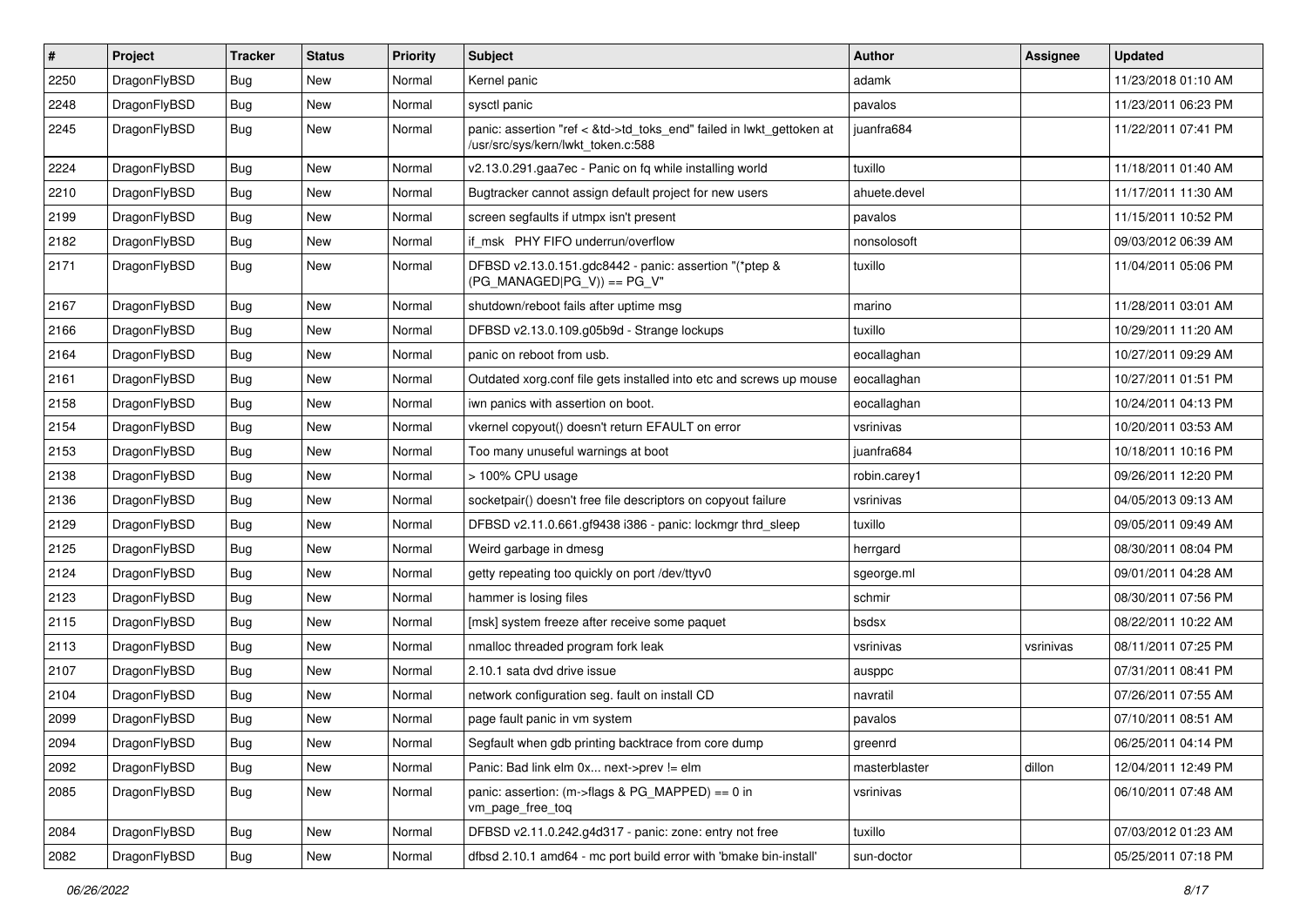| #    | Project      | <b>Tracker</b> | <b>Status</b> | <b>Priority</b> | Subject                                                                                                    | Author        | Assignee  | <b>Updated</b>      |
|------|--------------|----------------|---------------|-----------------|------------------------------------------------------------------------------------------------------------|---------------|-----------|---------------------|
| 2250 | DragonFlyBSD | Bug            | <b>New</b>    | Normal          | Kernel panic                                                                                               | adamk         |           | 11/23/2018 01:10 AM |
| 2248 | DragonFlyBSD | <b>Bug</b>     | <b>New</b>    | Normal          | sysctl panic                                                                                               | pavalos       |           | 11/23/2011 06:23 PM |
| 2245 | DragonFlyBSD | <b>Bug</b>     | New           | Normal          | panic: assertion "ref < &td->td_toks_end" failed in lwkt_gettoken at<br>/usr/src/sys/kern/lwkt_token.c:588 | juanfra684    |           | 11/22/2011 07:41 PM |
| 2224 | DragonFlyBSD | <b>Bug</b>     | <b>New</b>    | Normal          | v2.13.0.291.gaa7ec - Panic on fq while installing world                                                    | tuxillo       |           | 11/18/2011 01:40 AM |
| 2210 | DragonFlyBSD | <b>Bug</b>     | <b>New</b>    | Normal          | Bugtracker cannot assign default project for new users                                                     | ahuete.devel  |           | 11/17/2011 11:30 AM |
| 2199 | DragonFlyBSD | Bug            | <b>New</b>    | Normal          | screen segfaults if utmpx isn't present                                                                    | pavalos       |           | 11/15/2011 10:52 PM |
| 2182 | DragonFlyBSD | <b>Bug</b>     | <b>New</b>    | Normal          | if msk PHY FIFO underrun/overflow                                                                          | nonsolosoft   |           | 09/03/2012 06:39 AM |
| 2171 | DragonFlyBSD | <b>Bug</b>     | <b>New</b>    | Normal          | DFBSD v2.13.0.151.gdc8442 - panic: assertion "(*ptep &<br>$(PG$ MANAGED PG V)) == PG V"                    | tuxillo       |           | 11/04/2011 05:06 PM |
| 2167 | DragonFlyBSD | Bug            | <b>New</b>    | Normal          | shutdown/reboot fails after uptime msg                                                                     | marino        |           | 11/28/2011 03:01 AM |
| 2166 | DragonFlyBSD | Bug            | <b>New</b>    | Normal          | DFBSD v2.13.0.109.g05b9d - Strange lockups                                                                 | tuxillo       |           | 10/29/2011 11:20 AM |
| 2164 | DragonFlyBSD | Bug            | New           | Normal          | panic on reboot from usb.                                                                                  | eocallaghan   |           | 10/27/2011 09:29 AM |
| 2161 | DragonFlyBSD | <b>Bug</b>     | <b>New</b>    | Normal          | Outdated xorg.conf file gets installed into etc and screws up mouse                                        | eocallaghan   |           | 10/27/2011 01:51 PM |
| 2158 | DragonFlyBSD | <b>Bug</b>     | <b>New</b>    | Normal          | iwn panics with assertion on boot.                                                                         | eocallaghan   |           | 10/24/2011 04:13 PM |
| 2154 | DragonFlyBSD | <b>Bug</b>     | New           | Normal          | vkernel copyout() doesn't return EFAULT on error                                                           | vsrinivas     |           | 10/20/2011 03:53 AM |
| 2153 | DragonFlyBSD | Bug            | <b>New</b>    | Normal          | Too many unuseful warnings at boot                                                                         | juanfra684    |           | 10/18/2011 10:16 PM |
| 2138 | DragonFlyBSD | Bug            | <b>New</b>    | Normal          | > 100% CPU usage                                                                                           | robin.carey1  |           | 09/26/2011 12:20 PM |
| 2136 | DragonFlyBSD | <b>Bug</b>     | <b>New</b>    | Normal          | socketpair() doesn't free file descriptors on copyout failure                                              | vsrinivas     |           | 04/05/2013 09:13 AM |
| 2129 | DragonFlyBSD | Bug            | <b>New</b>    | Normal          | DFBSD v2.11.0.661.gf9438 i386 - panic: lockmgr thrd_sleep                                                  | tuxillo       |           | 09/05/2011 09:49 AM |
| 2125 | DragonFlyBSD | Bug            | New           | Normal          | Weird garbage in dmesg                                                                                     | herrgard      |           | 08/30/2011 08:04 PM |
| 2124 | DragonFlyBSD | <b>Bug</b>     | New           | Normal          | getty repeating too quickly on port /dev/ttyv0                                                             | sgeorge.ml    |           | 09/01/2011 04:28 AM |
| 2123 | DragonFlyBSD | <b>Bug</b>     | <b>New</b>    | Normal          | hammer is losing files                                                                                     | schmir        |           | 08/30/2011 07:56 PM |
| 2115 | DragonFlyBSD | <b>Bug</b>     | <b>New</b>    | Normal          | [msk] system freeze after receive some paquet                                                              | bsdsx         |           | 08/22/2011 10:22 AM |
| 2113 | DragonFlyBSD | Bug            | <b>New</b>    | Normal          | nmalloc threaded program fork leak                                                                         | vsrinivas     | vsrinivas | 08/11/2011 07:25 PM |
| 2107 | DragonFlyBSD | Bug            | <b>New</b>    | Normal          | 2.10.1 sata dvd drive issue                                                                                | ausppc        |           | 07/31/2011 08:41 PM |
| 2104 | DragonFlyBSD | <b>Bug</b>     | <b>New</b>    | Normal          | network configuration seg. fault on install CD                                                             | navratil      |           | 07/26/2011 07:55 AM |
| 2099 | DragonFlyBSD | <b>Bug</b>     | <b>New</b>    | Normal          | page fault panic in vm system                                                                              | pavalos       |           | 07/10/2011 08:51 AM |
| 2094 | DragonFlyBSD | Bug            | New           | Normal          | Segfault when gdb printing backtrace from core dump                                                        | greenrd       |           | 06/25/2011 04:14 PM |
| 2092 | DragonFlyBSD | Bug            | New           | Normal          | Panic: Bad link elm 0x next->prev != elm                                                                   | masterblaster | dillon    | 12/04/2011 12:49 PM |
| 2085 | DragonFlyBSD | <b>Bug</b>     | New           | Normal          | panic: assertion: (m->flags & PG_MAPPED) == 0 in<br>vm_page_free_toq                                       | vsrinivas     |           | 06/10/2011 07:48 AM |
| 2084 | DragonFlyBSD | <b>Bug</b>     | New           | Normal          | DFBSD v2.11.0.242.g4d317 - panic: zone: entry not free                                                     | tuxillo       |           | 07/03/2012 01:23 AM |
| 2082 | DragonFlyBSD | <b>Bug</b>     | New           | Normal          | dfbsd 2.10.1 amd64 - mc port build error with 'bmake bin-install'                                          | sun-doctor    |           | 05/25/2011 07:18 PM |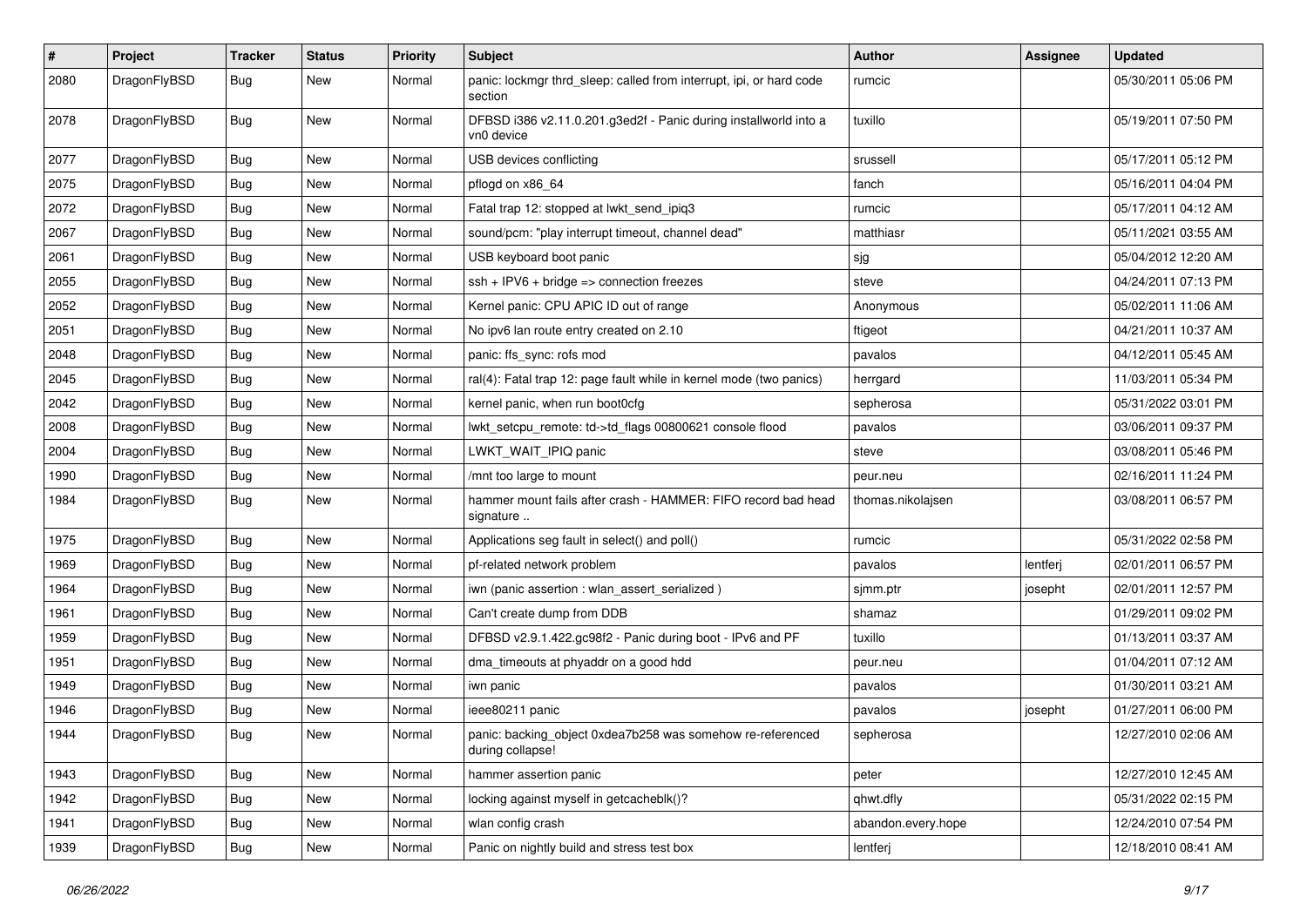| $\sharp$ | Project      | <b>Tracker</b> | <b>Status</b> | <b>Priority</b> | Subject                                                                        | <b>Author</b>      | Assignee | <b>Updated</b>      |
|----------|--------------|----------------|---------------|-----------------|--------------------------------------------------------------------------------|--------------------|----------|---------------------|
| 2080     | DragonFlyBSD | Bug            | <b>New</b>    | Normal          | panic: lockmgr thrd_sleep: called from interrupt, ipi, or hard code<br>section | rumcic             |          | 05/30/2011 05:06 PM |
| 2078     | DragonFlyBSD | Bug            | <b>New</b>    | Normal          | DFBSD i386 v2.11.0.201.g3ed2f - Panic during installworld into a<br>vn0 device | tuxillo            |          | 05/19/2011 07:50 PM |
| 2077     | DragonFlyBSD | <b>Bug</b>     | <b>New</b>    | Normal          | USB devices conflicting                                                        | srussell           |          | 05/17/2011 05:12 PM |
| 2075     | DragonFlyBSD | Bug            | New           | Normal          | pflogd on x86 64                                                               | fanch              |          | 05/16/2011 04:04 PM |
| 2072     | DragonFlyBSD | <b>Bug</b>     | New           | Normal          | Fatal trap 12: stopped at lwkt_send_ipiq3                                      | rumcic             |          | 05/17/2011 04:12 AM |
| 2067     | DragonFlyBSD | Bug            | New           | Normal          | sound/pcm: "play interrupt timeout, channel dead"                              | matthiasr          |          | 05/11/2021 03:55 AM |
| 2061     | DragonFlyBSD | <b>Bug</b>     | New           | Normal          | USB keyboard boot panic                                                        | sjg                |          | 05/04/2012 12:20 AM |
| 2055     | DragonFlyBSD | <b>Bug</b>     | <b>New</b>    | Normal          | ssh + IPV6 + bridge => connection freezes                                      | steve              |          | 04/24/2011 07:13 PM |
| 2052     | DragonFlyBSD | <b>Bug</b>     | New           | Normal          | Kernel panic: CPU APIC ID out of range                                         | Anonymous          |          | 05/02/2011 11:06 AM |
| 2051     | DragonFlyBSD | Bug            | New           | Normal          | No ipv6 lan route entry created on 2.10                                        | ftigeot            |          | 04/21/2011 10:37 AM |
| 2048     | DragonFlyBSD | <b>Bug</b>     | New           | Normal          | panic: ffs_sync: rofs mod                                                      | pavalos            |          | 04/12/2011 05:45 AM |
| 2045     | DragonFlyBSD | <b>Bug</b>     | New           | Normal          | ral(4): Fatal trap 12: page fault while in kernel mode (two panics)            | herrgard           |          | 11/03/2011 05:34 PM |
| 2042     | DragonFlyBSD | <b>Bug</b>     | <b>New</b>    | Normal          | kernel panic, when run boot0cfg                                                | sepherosa          |          | 05/31/2022 03:01 PM |
| 2008     | DragonFlyBSD | <b>Bug</b>     | New           | Normal          | lwkt_setcpu_remote: td->td_flags 00800621 console flood                        | pavalos            |          | 03/06/2011 09:37 PM |
| 2004     | DragonFlyBSD | <b>Bug</b>     | New           | Normal          | LWKT_WAIT_IPIQ panic                                                           | steve              |          | 03/08/2011 05:46 PM |
| 1990     | DragonFlyBSD | <b>Bug</b>     | <b>New</b>    | Normal          | /mnt too large to mount                                                        | peur.neu           |          | 02/16/2011 11:24 PM |
| 1984     | DragonFlyBSD | <b>Bug</b>     | New           | Normal          | hammer mount fails after crash - HAMMER: FIFO record bad head<br>signature     | thomas.nikolajsen  |          | 03/08/2011 06:57 PM |
| 1975     | DragonFlyBSD | Bug            | New           | Normal          | Applications seg fault in select() and poll()                                  | rumcic             |          | 05/31/2022 02:58 PM |
| 1969     | DragonFlyBSD | <b>Bug</b>     | New           | Normal          | pf-related network problem                                                     | pavalos            | lentferj | 02/01/2011 06:57 PM |
| 1964     | DragonFlyBSD | <b>Bug</b>     | <b>New</b>    | Normal          | iwn (panic assertion : wlan_assert_serialized)                                 | sjmm.ptr           | josepht  | 02/01/2011 12:57 PM |
| 1961     | DragonFlyBSD | Bug            | New           | Normal          | Can't create dump from DDB                                                     | shamaz             |          | 01/29/2011 09:02 PM |
| 1959     | DragonFlyBSD | <b>Bug</b>     | New           | Normal          | DFBSD v2.9.1.422.gc98f2 - Panic during boot - IPv6 and PF                      | tuxillo            |          | 01/13/2011 03:37 AM |
| 1951     | DragonFlyBSD | <b>Bug</b>     | New           | Normal          | dma_timeouts at phyaddr on a good hdd                                          | peur.neu           |          | 01/04/2011 07:12 AM |
| 1949     | DragonFlyBSD | <b>Bug</b>     | New           | Normal          | iwn panic                                                                      | pavalos            |          | 01/30/2011 03:21 AM |
| 1946     | DragonFlyBSD | <b>Bug</b>     | New           | Normal          | ieee80211 panic                                                                | pavalos            | josepht  | 01/27/2011 06:00 PM |
| 1944     | DragonFlyBSD | Bug            | New           | Normal          | panic: backing_object 0xdea7b258 was somehow re-referenced<br>during collapse! | sepherosa          |          | 12/27/2010 02:06 AM |
| 1943     | DragonFlyBSD | <b>Bug</b>     | New           | Normal          | hammer assertion panic                                                         | peter              |          | 12/27/2010 12:45 AM |
| 1942     | DragonFlyBSD | <b>Bug</b>     | New           | Normal          | locking against myself in getcacheblk()?                                       | qhwt.dfly          |          | 05/31/2022 02:15 PM |
| 1941     | DragonFlyBSD | <b>Bug</b>     | New           | Normal          | wlan config crash                                                              | abandon.every.hope |          | 12/24/2010 07:54 PM |
| 1939     | DragonFlyBSD | <b>Bug</b>     | New           | Normal          | Panic on nightly build and stress test box                                     | lentferj           |          | 12/18/2010 08:41 AM |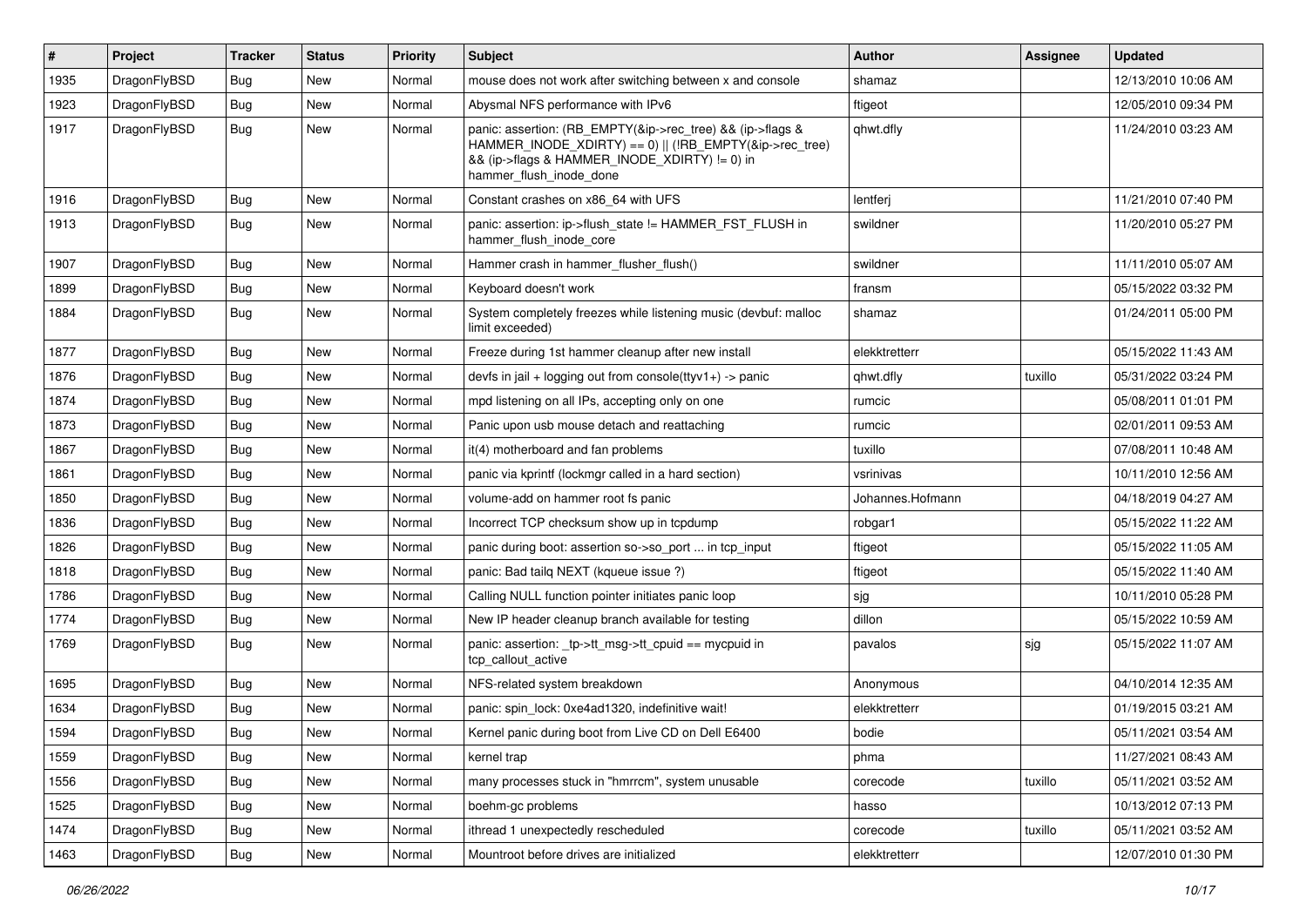| #    | Project      | <b>Tracker</b> | <b>Status</b> | <b>Priority</b> | Subject                                                                                                                                                                                           | Author           | Assignee | <b>Updated</b>      |
|------|--------------|----------------|---------------|-----------------|---------------------------------------------------------------------------------------------------------------------------------------------------------------------------------------------------|------------------|----------|---------------------|
| 1935 | DragonFlyBSD | Bug            | <b>New</b>    | Normal          | mouse does not work after switching between x and console                                                                                                                                         | shamaz           |          | 12/13/2010 10:06 AM |
| 1923 | DragonFlyBSD | Bug            | <b>New</b>    | Normal          | Abysmal NFS performance with IPv6                                                                                                                                                                 | ftigeot          |          | 12/05/2010 09:34 PM |
| 1917 | DragonFlyBSD | Bug            | New           | Normal          | panic: assertion: (RB_EMPTY(&ip->rec_tree) && (ip->flags &<br>HAMMER INODE XDIRTY) == 0)    (!RB EMPTY(&ip->rec tree)<br>&& (ip->flags & HAMMER_INODE_XDIRTY) != 0) in<br>hammer flush inode done | qhwt.dfly        |          | 11/24/2010 03:23 AM |
| 1916 | DragonFlyBSD | Bug            | <b>New</b>    | Normal          | Constant crashes on x86_64 with UFS                                                                                                                                                               | lentferj         |          | 11/21/2010 07:40 PM |
| 1913 | DragonFlyBSD | Bug            | New           | Normal          | panic: assertion: ip->flush_state != HAMMER_FST_FLUSH in<br>hammer_flush_inode_core                                                                                                               | swildner         |          | 11/20/2010 05:27 PM |
| 1907 | DragonFlyBSD | Bug            | <b>New</b>    | Normal          | Hammer crash in hammer flusher flush()                                                                                                                                                            | swildner         |          | 11/11/2010 05:07 AM |
| 1899 | DragonFlyBSD | <b>Bug</b>     | <b>New</b>    | Normal          | Keyboard doesn't work                                                                                                                                                                             | fransm           |          | 05/15/2022 03:32 PM |
| 1884 | DragonFlyBSD | Bug            | New           | Normal          | System completely freezes while listening music (devbuf: malloc<br>limit exceeded)                                                                                                                | shamaz           |          | 01/24/2011 05:00 PM |
| 1877 | DragonFlyBSD | Bug            | <b>New</b>    | Normal          | Freeze during 1st hammer cleanup after new install                                                                                                                                                | elekktretterr    |          | 05/15/2022 11:43 AM |
| 1876 | DragonFlyBSD | Bug            | <b>New</b>    | Normal          | devfs in jail + logging out from console(ttyv1+) -> panic                                                                                                                                         | qhwt.dfly        | tuxillo  | 05/31/2022 03:24 PM |
| 1874 | DragonFlyBSD | <b>Bug</b>     | <b>New</b>    | Normal          | mpd listening on all IPs, accepting only on one                                                                                                                                                   | rumcic           |          | 05/08/2011 01:01 PM |
| 1873 | DragonFlyBSD | Bug            | <b>New</b>    | Normal          | Panic upon usb mouse detach and reattaching                                                                                                                                                       | rumcic           |          | 02/01/2011 09:53 AM |
| 1867 | DragonFlyBSD | <b>Bug</b>     | <b>New</b>    | Normal          | it(4) motherboard and fan problems                                                                                                                                                                | tuxillo          |          | 07/08/2011 10:48 AM |
| 1861 | DragonFlyBSD | <b>Bug</b>     | <b>New</b>    | Normal          | panic via kprintf (lockmgr called in a hard section)                                                                                                                                              | vsrinivas        |          | 10/11/2010 12:56 AM |
| 1850 | DragonFlyBSD | Bug            | <b>New</b>    | Normal          | volume-add on hammer root fs panic                                                                                                                                                                | Johannes.Hofmann |          | 04/18/2019 04:27 AM |
| 1836 | DragonFlyBSD | <b>Bug</b>     | <b>New</b>    | Normal          | Incorrect TCP checksum show up in tcpdump                                                                                                                                                         | robgar1          |          | 05/15/2022 11:22 AM |
| 1826 | DragonFlyBSD | <b>Bug</b>     | New           | Normal          | panic during boot: assertion so->so_port  in tcp_input                                                                                                                                            | ftigeot          |          | 05/15/2022 11:05 AM |
| 1818 | DragonFlyBSD | Bug            | <b>New</b>    | Normal          | panic: Bad tailq NEXT (kqueue issue ?)                                                                                                                                                            | ftigeot          |          | 05/15/2022 11:40 AM |
| 1786 | DragonFlyBSD | <b>Bug</b>     | New           | Normal          | Calling NULL function pointer initiates panic loop                                                                                                                                                | sjg              |          | 10/11/2010 05:28 PM |
| 1774 | DragonFlyBSD | <b>Bug</b>     | <b>New</b>    | Normal          | New IP header cleanup branch available for testing                                                                                                                                                | dillon           |          | 05/15/2022 10:59 AM |
| 1769 | DragonFlyBSD | Bug            | <b>New</b>    | Normal          | panic: assertion: _tp->tt_msg->tt_cpuid == mycpuid in<br>tcp callout active                                                                                                                       | pavalos          | sjg      | 05/15/2022 11:07 AM |
| 1695 | DragonFlyBSD | Bug            | <b>New</b>    | Normal          | NFS-related system breakdown                                                                                                                                                                      | Anonymous        |          | 04/10/2014 12:35 AM |
| 1634 | DragonFlyBSD | <b>Bug</b>     | <b>New</b>    | Normal          | panic: spin lock: 0xe4ad1320, indefinitive wait!                                                                                                                                                  | elekktretterr    |          | 01/19/2015 03:21 AM |
| 1594 | DragonFlyBSD | Bug            | New           | Normal          | Kernel panic during boot from Live CD on Dell E6400                                                                                                                                               | bodie            |          | 05/11/2021 03:54 AM |
| 1559 | DragonFlyBSD | <b>Bug</b>     | New           | Normal          | kernel trap                                                                                                                                                                                       | phma             |          | 11/27/2021 08:43 AM |
| 1556 | DragonFlyBSD | <b>Bug</b>     | New           | Normal          | many processes stuck in "hmrrcm", system unusable                                                                                                                                                 | corecode         | tuxillo  | 05/11/2021 03:52 AM |
| 1525 | DragonFlyBSD | <b>Bug</b>     | New           | Normal          | boehm-gc problems                                                                                                                                                                                 | hasso            |          | 10/13/2012 07:13 PM |
| 1474 | DragonFlyBSD | <b>Bug</b>     | New           | Normal          | ithread 1 unexpectedly rescheduled                                                                                                                                                                | corecode         | tuxillo  | 05/11/2021 03:52 AM |
| 1463 | DragonFlyBSD | <b>Bug</b>     | New           | Normal          | Mountroot before drives are initialized                                                                                                                                                           | elekktretterr    |          | 12/07/2010 01:30 PM |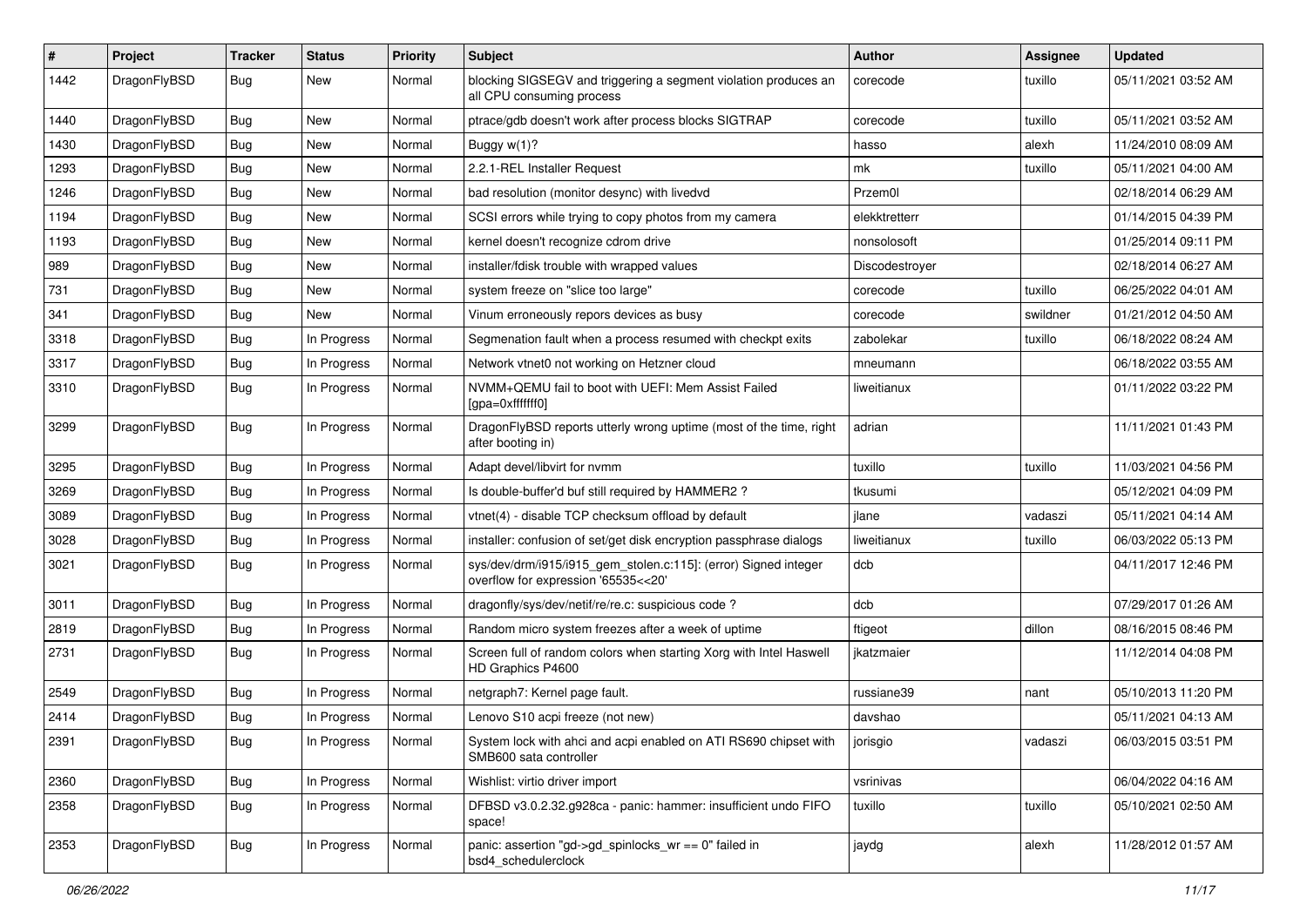| #    | Project      | <b>Tracker</b> | <b>Status</b> | <b>Priority</b> | Subject                                                                                                | Author         | <b>Assignee</b> | <b>Updated</b>      |
|------|--------------|----------------|---------------|-----------------|--------------------------------------------------------------------------------------------------------|----------------|-----------------|---------------------|
| 1442 | DragonFlyBSD | Bug            | New           | Normal          | blocking SIGSEGV and triggering a segment violation produces an<br>all CPU consuming process           | corecode       | tuxillo         | 05/11/2021 03:52 AM |
| 1440 | DragonFlyBSD | <b>Bug</b>     | <b>New</b>    | Normal          | ptrace/gdb doesn't work after process blocks SIGTRAP                                                   | corecode       | tuxillo         | 05/11/2021 03:52 AM |
| 1430 | DragonFlyBSD | Bug            | New           | Normal          | Buggy $w(1)$ ?                                                                                         | hasso          | alexh           | 11/24/2010 08:09 AM |
| 1293 | DragonFlyBSD | <b>Bug</b>     | New           | Normal          | 2.2.1-REL Installer Request                                                                            | mk             | tuxillo         | 05/11/2021 04:00 AM |
| 1246 | DragonFlyBSD | <b>Bug</b>     | New           | Normal          | bad resolution (monitor desync) with livedvd                                                           | Przem0l        |                 | 02/18/2014 06:29 AM |
| 1194 | DragonFlyBSD | <b>Bug</b>     | <b>New</b>    | Normal          | SCSI errors while trying to copy photos from my camera                                                 | elekktretterr  |                 | 01/14/2015 04:39 PM |
| 1193 | DragonFlyBSD | <b>Bug</b>     | New           | Normal          | kernel doesn't recognize cdrom drive                                                                   | nonsolosoft    |                 | 01/25/2014 09:11 PM |
| 989  | DragonFlyBSD | Bug            | New           | Normal          | installer/fdisk trouble with wrapped values                                                            | Discodestroyer |                 | 02/18/2014 06:27 AM |
| 731  | DragonFlyBSD | <b>Bug</b>     | <b>New</b>    | Normal          | system freeze on "slice too large"                                                                     | corecode       | tuxillo         | 06/25/2022 04:01 AM |
| 341  | DragonFlyBSD | Bug            | New           | Normal          | Vinum erroneously repors devices as busy                                                               | corecode       | swildner        | 01/21/2012 04:50 AM |
| 3318 | DragonFlyBSD | Bug            | In Progress   | Normal          | Segmenation fault when a process resumed with checkpt exits                                            | zabolekar      | tuxillo         | 06/18/2022 08:24 AM |
| 3317 | DragonFlyBSD | <b>Bug</b>     | In Progress   | Normal          | Network vtnet0 not working on Hetzner cloud                                                            | mneumann       |                 | 06/18/2022 03:55 AM |
| 3310 | DragonFlyBSD | Bug            | In Progress   | Normal          | NVMM+QEMU fail to boot with UEFI: Mem Assist Failed<br>[gpa=0xfffffff0]                                | liweitianux    |                 | 01/11/2022 03:22 PM |
| 3299 | DragonFlyBSD | Bug            | In Progress   | Normal          | DragonFlyBSD reports utterly wrong uptime (most of the time, right<br>after booting in)                | adrian         |                 | 11/11/2021 01:43 PM |
| 3295 | DragonFlyBSD | <b>Bug</b>     | In Progress   | Normal          | Adapt devel/libvirt for nvmm                                                                           | tuxillo        | tuxillo         | 11/03/2021 04:56 PM |
| 3269 | DragonFlyBSD | <b>Bug</b>     | In Progress   | Normal          | Is double-buffer'd buf still required by HAMMER2?                                                      | tkusumi        |                 | 05/12/2021 04:09 PM |
| 3089 | DragonFlyBSD | Bug            | In Progress   | Normal          | vtnet(4) - disable TCP checksum offload by default                                                     | jlane          | vadaszi         | 05/11/2021 04:14 AM |
| 3028 | DragonFlyBSD | <b>Bug</b>     | In Progress   | Normal          | installer: confusion of set/get disk encryption passphrase dialogs                                     | liweitianux    | tuxillo         | 06/03/2022 05:13 PM |
| 3021 | DragonFlyBSD | <b>Bug</b>     | In Progress   | Normal          | sys/dev/drm/i915/i915_gem_stolen.c:115]: (error) Signed integer<br>overflow for expression '65535<<20' | dcb            |                 | 04/11/2017 12:46 PM |
| 3011 | DragonFlyBSD | <b>Bug</b>     | In Progress   | Normal          | dragonfly/sys/dev/netif/re/re.c: suspicious code?                                                      | dcb            |                 | 07/29/2017 01:26 AM |
| 2819 | DragonFlyBSD | Bug            | In Progress   | Normal          | Random micro system freezes after a week of uptime                                                     | ftigeot        | dillon          | 08/16/2015 08:46 PM |
| 2731 | DragonFlyBSD | <b>Bug</b>     | In Progress   | Normal          | Screen full of random colors when starting Xorg with Intel Haswell<br>HD Graphics P4600                | ikatzmaier     |                 | 11/12/2014 04:08 PM |
| 2549 | DragonFlyBSD | Bug            | In Progress   | Normal          | netgraph7: Kernel page fault.                                                                          | russiane39     | nant            | 05/10/2013 11:20 PM |
| 2414 | DragonFlyBSD | Bug            | In Progress   | Normal          | Lenovo S10 acpi freeze (not new)                                                                       | davshao        |                 | 05/11/2021 04:13 AM |
| 2391 | DragonFlyBSD | <b>Bug</b>     | In Progress   | Normal          | System lock with ahci and acpi enabled on ATI RS690 chipset with<br>SMB600 sata controller             | jorisgio       | vadaszi         | 06/03/2015 03:51 PM |
| 2360 | DragonFlyBSD | <b>Bug</b>     | In Progress   | Normal          | Wishlist: virtio driver import                                                                         | vsrinivas      |                 | 06/04/2022 04:16 AM |
| 2358 | DragonFlyBSD | <b>Bug</b>     | In Progress   | Normal          | DFBSD v3.0.2.32.g928ca - panic: hammer: insufficient undo FIFO<br>space!                               | tuxillo        | tuxillo         | 05/10/2021 02:50 AM |
| 2353 | DragonFlyBSD | <b>Bug</b>     | In Progress   | Normal          | panic: assertion "gd->gd_spinlocks_wr == 0" failed in<br>bsd4_schedulerclock                           | jaydg          | alexh           | 11/28/2012 01:57 AM |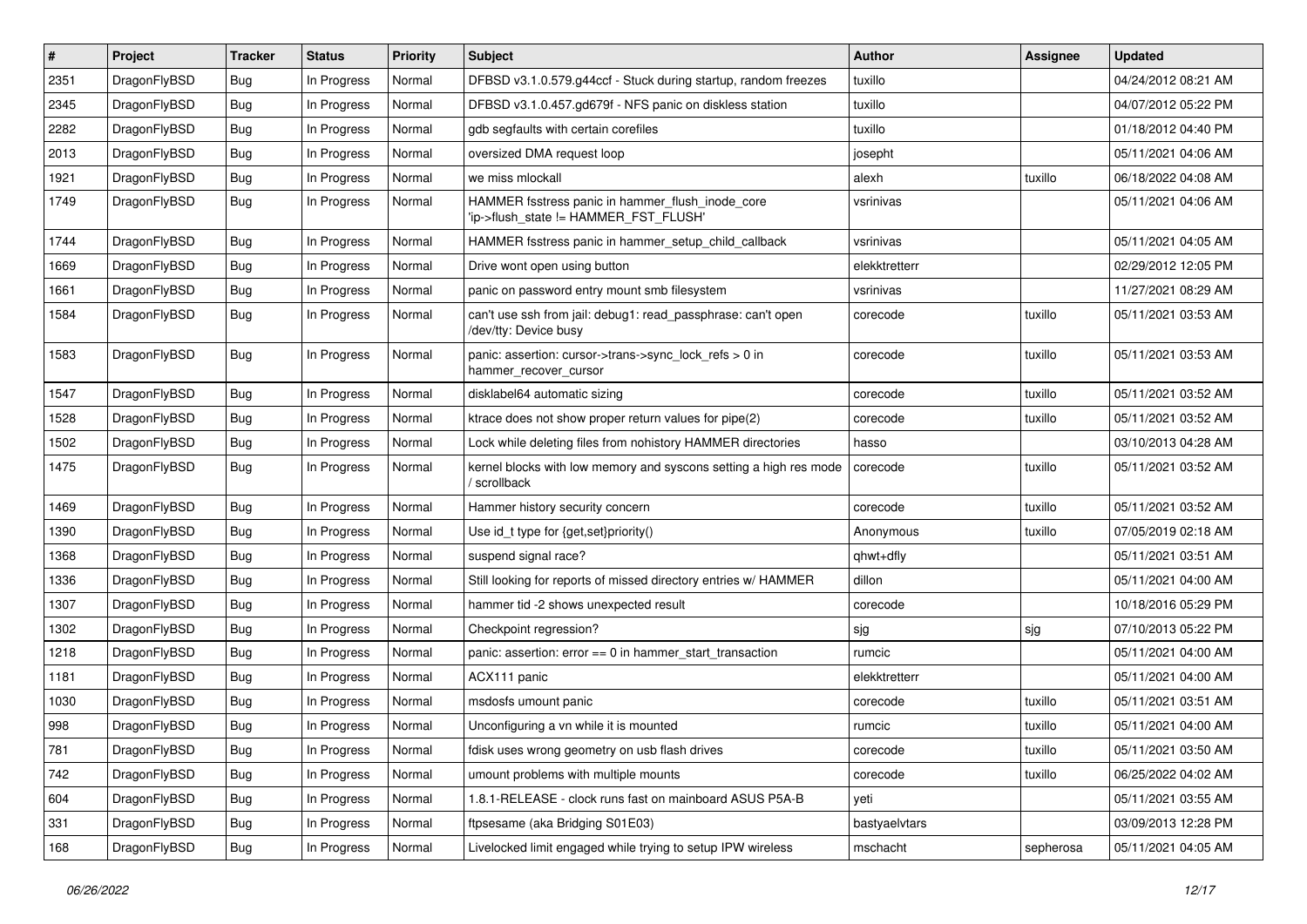| #    | Project      | <b>Tracker</b> | <b>Status</b> | <b>Priority</b> | <b>Subject</b>                                                                            | Author        | Assignee  | <b>Updated</b>      |
|------|--------------|----------------|---------------|-----------------|-------------------------------------------------------------------------------------------|---------------|-----------|---------------------|
| 2351 | DragonFlyBSD | Bug            | In Progress   | Normal          | DFBSD v3.1.0.579.g44ccf - Stuck during startup, random freezes                            | tuxillo       |           | 04/24/2012 08:21 AM |
| 2345 | DragonFlyBSD | <b>Bug</b>     | In Progress   | Normal          | DFBSD v3.1.0.457.gd679f - NFS panic on diskless station                                   | tuxillo       |           | 04/07/2012 05:22 PM |
| 2282 | DragonFlyBSD | <b>Bug</b>     | In Progress   | Normal          | gdb segfaults with certain corefiles                                                      | tuxillo       |           | 01/18/2012 04:40 PM |
| 2013 | DragonFlyBSD | Bug            | In Progress   | Normal          | oversized DMA request loop                                                                | josepht       |           | 05/11/2021 04:06 AM |
| 1921 | DragonFlyBSD | <b>Bug</b>     | In Progress   | Normal          | we miss mlockall                                                                          | alexh         | tuxillo   | 06/18/2022 04:08 AM |
| 1749 | DragonFlyBSD | Bug            | In Progress   | Normal          | HAMMER fsstress panic in hammer flush inode core<br>'ip->flush_state != HAMMER_FST_FLUSH' | vsrinivas     |           | 05/11/2021 04:06 AM |
| 1744 | DragonFlyBSD | Bug            | In Progress   | Normal          | HAMMER fsstress panic in hammer_setup_child_callback                                      | vsrinivas     |           | 05/11/2021 04:05 AM |
| 1669 | DragonFlyBSD | <b>Bug</b>     | In Progress   | Normal          | Drive wont open using button                                                              | elekktretterr |           | 02/29/2012 12:05 PM |
| 1661 | DragonFlyBSD | <b>Bug</b>     | In Progress   | Normal          | panic on password entry mount smb filesystem                                              | vsrinivas     |           | 11/27/2021 08:29 AM |
| 1584 | DragonFlyBSD | <b>Bug</b>     | In Progress   | Normal          | can't use ssh from jail: debug1: read_passphrase: can't open<br>/dev/tty: Device busy     | corecode      | tuxillo   | 05/11/2021 03:53 AM |
| 1583 | DragonFlyBSD | <b>Bug</b>     | In Progress   | Normal          | panic: assertion: cursor->trans->sync_lock_refs > 0 in<br>hammer recover cursor           | corecode      | tuxillo   | 05/11/2021 03:53 AM |
| 1547 | DragonFlyBSD | Bug            | In Progress   | Normal          | disklabel64 automatic sizing                                                              | corecode      | tuxillo   | 05/11/2021 03:52 AM |
| 1528 | DragonFlyBSD | <b>Bug</b>     | In Progress   | Normal          | ktrace does not show proper return values for pipe(2)                                     | corecode      | tuxillo   | 05/11/2021 03:52 AM |
| 1502 | DragonFlyBSD | <b>Bug</b>     | In Progress   | Normal          | Lock while deleting files from nohistory HAMMER directories                               | hasso         |           | 03/10/2013 04:28 AM |
| 1475 | DragonFlyBSD | Bug            | In Progress   | Normal          | kernel blocks with low memory and syscons setting a high res mode<br>scrollback           | corecode      | tuxillo   | 05/11/2021 03:52 AM |
| 1469 | DragonFlyBSD | <b>Bug</b>     | In Progress   | Normal          | Hammer history security concern                                                           | corecode      | tuxillo   | 05/11/2021 03:52 AM |
| 1390 | DragonFlyBSD | <b>Bug</b>     | In Progress   | Normal          | Use id_t type for {get,set}priority()                                                     | Anonymous     | tuxillo   | 07/05/2019 02:18 AM |
| 1368 | DragonFlyBSD | <b>Bug</b>     | In Progress   | Normal          | suspend signal race?                                                                      | qhwt+dfly     |           | 05/11/2021 03:51 AM |
| 1336 | DragonFlyBSD | Bug            | In Progress   | Normal          | Still looking for reports of missed directory entries w/ HAMMER                           | dillon        |           | 05/11/2021 04:00 AM |
| 1307 | DragonFlyBSD | <b>Bug</b>     | In Progress   | Normal          | hammer tid -2 shows unexpected result                                                     | corecode      |           | 10/18/2016 05:29 PM |
| 1302 | DragonFlyBSD | <b>Bug</b>     | In Progress   | Normal          | Checkpoint regression?                                                                    | sjg           | sjg       | 07/10/2013 05:22 PM |
| 1218 | DragonFlyBSD | <b>Bug</b>     | In Progress   | Normal          | panic: assertion: error == 0 in hammer_start_transaction                                  | rumcic        |           | 05/11/2021 04:00 AM |
| 1181 | DragonFlyBSD | <b>Bug</b>     | In Progress   | Normal          | ACX111 panic                                                                              | elekktretterr |           | 05/11/2021 04:00 AM |
| 1030 | DragonFlyBSD | Bug            | In Progress   | Normal          | msdosfs umount panic                                                                      | corecode      | tuxillo   | 05/11/2021 03:51 AM |
| 998  | DragonFlyBSD | <b>Bug</b>     | In Progress   | Normal          | Unconfiguring a vn while it is mounted                                                    | rumcic        | tuxillo   | 05/11/2021 04:00 AM |
| 781  | DragonFlyBSD | <b>Bug</b>     | In Progress   | Normal          | fdisk uses wrong geometry on usb flash drives                                             | corecode      | tuxillo   | 05/11/2021 03:50 AM |
| 742  | DragonFlyBSD | <b>Bug</b>     | In Progress   | Normal          | umount problems with multiple mounts                                                      | corecode      | tuxillo   | 06/25/2022 04:02 AM |
| 604  | DragonFlyBSD | <b>Bug</b>     | In Progress   | Normal          | 1.8.1-RELEASE - clock runs fast on mainboard ASUS P5A-B                                   | yeti          |           | 05/11/2021 03:55 AM |
| 331  | DragonFlyBSD | <b>Bug</b>     | In Progress   | Normal          | ftpsesame (aka Bridging S01E03)                                                           | bastyaelvtars |           | 03/09/2013 12:28 PM |
| 168  | DragonFlyBSD | <b>Bug</b>     | In Progress   | Normal          | Livelocked limit engaged while trying to setup IPW wireless                               | mschacht      | sepherosa | 05/11/2021 04:05 AM |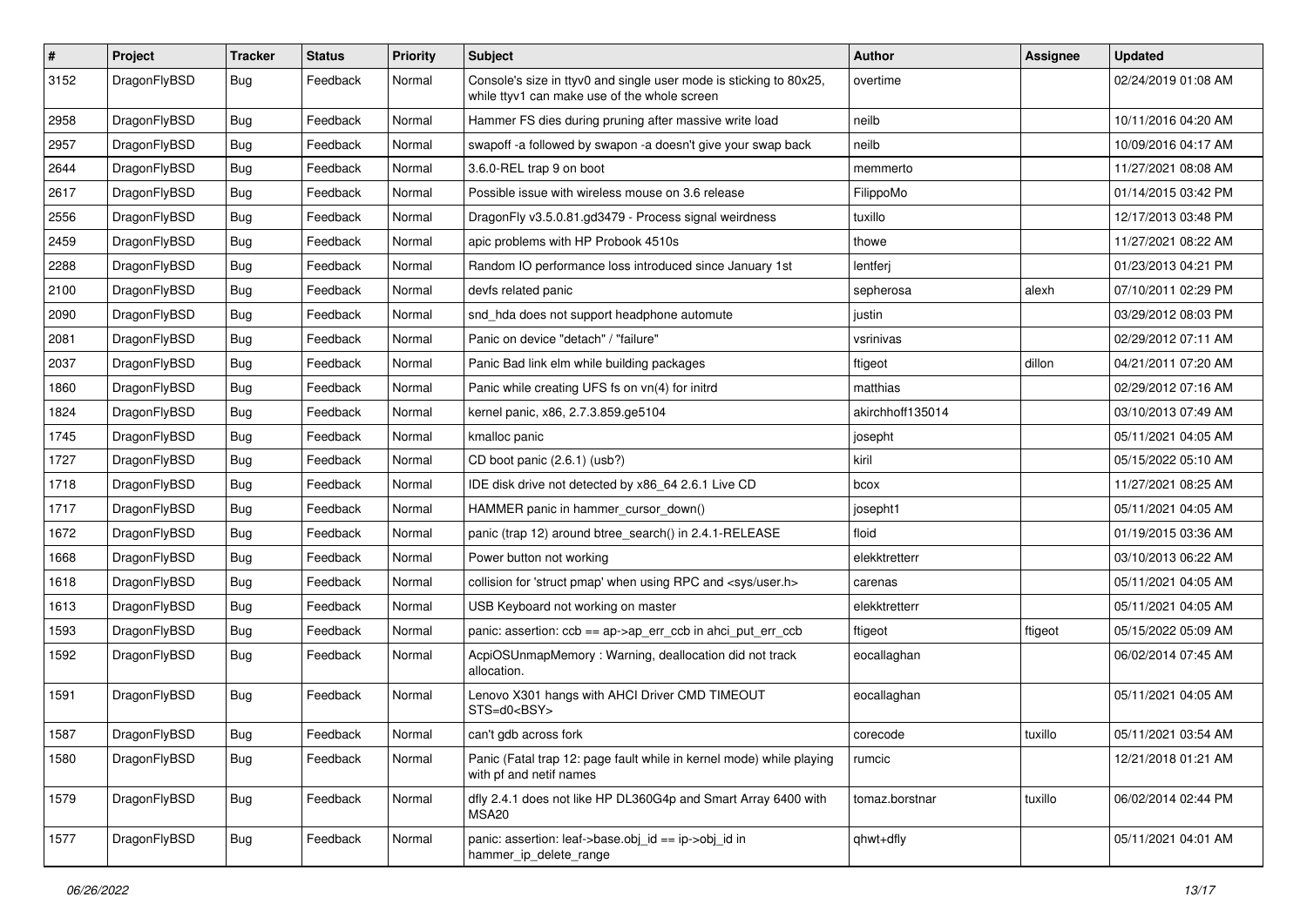| $\vert$ # | Project      | <b>Tracker</b> | <b>Status</b> | <b>Priority</b> | Subject                                                                                                            | Author           | Assignee | <b>Updated</b>      |
|-----------|--------------|----------------|---------------|-----------------|--------------------------------------------------------------------------------------------------------------------|------------------|----------|---------------------|
| 3152      | DragonFlyBSD | Bug            | Feedback      | Normal          | Console's size in ttyv0 and single user mode is sticking to 80x25,<br>while ttyv1 can make use of the whole screen | overtime         |          | 02/24/2019 01:08 AM |
| 2958      | DragonFlyBSD | <b>Bug</b>     | Feedback      | Normal          | Hammer FS dies during pruning after massive write load                                                             | neilb            |          | 10/11/2016 04:20 AM |
| 2957      | DragonFlyBSD | <b>Bug</b>     | Feedback      | Normal          | swapoff -a followed by swapon -a doesn't give your swap back                                                       | neilb            |          | 10/09/2016 04:17 AM |
| 2644      | DragonFlyBSD | Bug            | Feedback      | Normal          | 3.6.0-REL trap 9 on boot                                                                                           | memmerto         |          | 11/27/2021 08:08 AM |
| 2617      | DragonFlyBSD | <b>Bug</b>     | Feedback      | Normal          | Possible issue with wireless mouse on 3.6 release                                                                  | FilippoMo        |          | 01/14/2015 03:42 PM |
| 2556      | DragonFlyBSD | Bug            | Feedback      | Normal          | DragonFly v3.5.0.81.gd3479 - Process signal weirdness                                                              | tuxillo          |          | 12/17/2013 03:48 PM |
| 2459      | DragonFlyBSD | <b>Bug</b>     | Feedback      | Normal          | apic problems with HP Probook 4510s                                                                                | thowe            |          | 11/27/2021 08:22 AM |
| 2288      | DragonFlyBSD | <b>Bug</b>     | Feedback      | Normal          | Random IO performance loss introduced since January 1st                                                            | lentferj         |          | 01/23/2013 04:21 PM |
| 2100      | DragonFlyBSD | Bug            | Feedback      | Normal          | devfs related panic                                                                                                | sepherosa        | alexh    | 07/10/2011 02:29 PM |
| 2090      | DragonFlyBSD | <b>Bug</b>     | Feedback      | Normal          | snd hda does not support headphone automute                                                                        | justin           |          | 03/29/2012 08:03 PM |
| 2081      | DragonFlyBSD | <b>Bug</b>     | Feedback      | Normal          | Panic on device "detach" / "failure"                                                                               | vsrinivas        |          | 02/29/2012 07:11 AM |
| 2037      | DragonFlyBSD | <b>Bug</b>     | Feedback      | Normal          | Panic Bad link elm while building packages                                                                         | ftigeot          | dillon   | 04/21/2011 07:20 AM |
| 1860      | DragonFlyBSD | <b>Bug</b>     | Feedback      | Normal          | Panic while creating UFS fs on vn(4) for initrd                                                                    | matthias         |          | 02/29/2012 07:16 AM |
| 1824      | DragonFlyBSD | Bug            | Feedback      | Normal          | kernel panic, x86, 2.7.3.859.ge5104                                                                                | akirchhoff135014 |          | 03/10/2013 07:49 AM |
| 1745      | DragonFlyBSD | <b>Bug</b>     | Feedback      | Normal          | kmalloc panic                                                                                                      | josepht          |          | 05/11/2021 04:05 AM |
| 1727      | DragonFlyBSD | Bug            | Feedback      | Normal          | CD boot panic (2.6.1) (usb?)                                                                                       | kiril            |          | 05/15/2022 05:10 AM |
| 1718      | DragonFlyBSD | Bug            | Feedback      | Normal          | IDE disk drive not detected by x86 64 2.6.1 Live CD                                                                | bcox             |          | 11/27/2021 08:25 AM |
| 1717      | DragonFlyBSD | <b>Bug</b>     | Feedback      | Normal          | HAMMER panic in hammer_cursor_down()                                                                               | josepht1         |          | 05/11/2021 04:05 AM |
| 1672      | DragonFlyBSD | <b>Bug</b>     | Feedback      | Normal          | panic (trap 12) around btree_search() in 2.4.1-RELEASE                                                             | floid            |          | 01/19/2015 03:36 AM |
| 1668      | DragonFlyBSD | <b>Bug</b>     | Feedback      | Normal          | Power button not working                                                                                           | elekktretterr    |          | 03/10/2013 06:22 AM |
| 1618      | DragonFlyBSD | <b>Bug</b>     | Feedback      | Normal          | collision for 'struct pmap' when using RPC and <sys user.h=""></sys>                                               | carenas          |          | 05/11/2021 04:05 AM |
| 1613      | DragonFlyBSD | Bug            | Feedback      | Normal          | USB Keyboard not working on master                                                                                 | elekktretterr    |          | 05/11/2021 04:05 AM |
| 1593      | DragonFlyBSD | <b>Bug</b>     | Feedback      | Normal          | panic: assertion: $ccb == ap$ ap- $\geq$ err $ccb$ in ahci put err $ccb$                                           | ftigeot          | ftigeot  | 05/15/2022 05:09 AM |
| 1592      | DragonFlyBSD | <b>Bug</b>     | Feedback      | Normal          | AcpiOSUnmapMemory: Warning, deallocation did not track<br>allocation.                                              | eocallaghan      |          | 06/02/2014 07:45 AM |
| 1591      | DragonFlyBSD | Bug            | Feedback      | Normal          | Lenovo X301 hangs with AHCI Driver CMD TIMEOUT<br>STS=d0 <bsy></bsy>                                               | eocallaghan      |          | 05/11/2021 04:05 AM |
| 1587      | DragonFlyBSD | Bug            | Feedback      | Normal          | can't gdb across fork                                                                                              | corecode         | tuxillo  | 05/11/2021 03:54 AM |
| 1580      | DragonFlyBSD | Bug            | Feedback      | Normal          | Panic (Fatal trap 12: page fault while in kernel mode) while playing<br>with pf and netif names                    | rumcic           |          | 12/21/2018 01:21 AM |
| 1579      | DragonFlyBSD | <b>Bug</b>     | Feedback      | Normal          | dfly 2.4.1 does not like HP DL360G4p and Smart Array 6400 with<br>MSA20                                            | tomaz.borstnar   | tuxillo  | 06/02/2014 02:44 PM |
| 1577      | DragonFlyBSD | <b>Bug</b>     | Feedback      | Normal          | panic: assertion: leaf->base.obj_id == ip->obj_id in<br>hammer_ip_delete_range                                     | qhwt+dfly        |          | 05/11/2021 04:01 AM |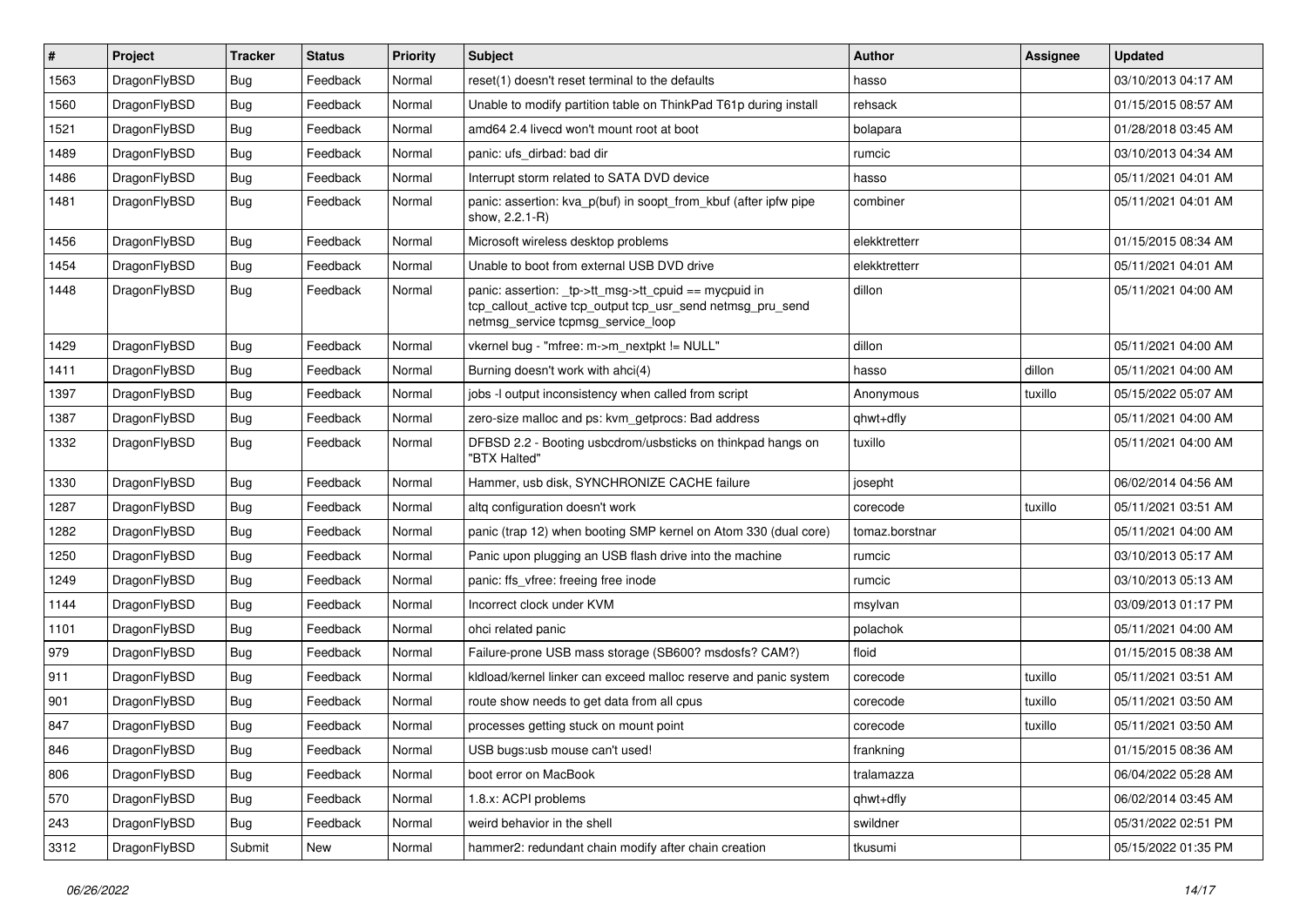| $\vert$ # | Project      | <b>Tracker</b> | <b>Status</b> | <b>Priority</b> | <b>Subject</b>                                                                                                                                            | <b>Author</b>  | Assignee | <b>Updated</b>      |
|-----------|--------------|----------------|---------------|-----------------|-----------------------------------------------------------------------------------------------------------------------------------------------------------|----------------|----------|---------------------|
| 1563      | DragonFlyBSD | Bug            | Feedback      | Normal          | reset(1) doesn't reset terminal to the defaults                                                                                                           | hasso          |          | 03/10/2013 04:17 AM |
| 1560      | DragonFlyBSD | <b>Bug</b>     | Feedback      | Normal          | Unable to modify partition table on ThinkPad T61p during install                                                                                          | rehsack        |          | 01/15/2015 08:57 AM |
| 1521      | DragonFlyBSD | <b>Bug</b>     | Feedback      | Normal          | amd64 2.4 livecd won't mount root at boot                                                                                                                 | bolapara       |          | 01/28/2018 03:45 AM |
| 1489      | DragonFlyBSD | Bug            | Feedback      | Normal          | panic: ufs dirbad: bad dir                                                                                                                                | rumcic         |          | 03/10/2013 04:34 AM |
| 1486      | DragonFlyBSD | <b>Bug</b>     | Feedback      | Normal          | Interrupt storm related to SATA DVD device                                                                                                                | hasso          |          | 05/11/2021 04:01 AM |
| 1481      | DragonFlyBSD | Bug            | Feedback      | Normal          | panic: assertion: kva_p(buf) in soopt_from_kbuf (after ipfw pipe<br>show, 2.2.1-R)                                                                        | combiner       |          | 05/11/2021 04:01 AM |
| 1456      | DragonFlyBSD | <b>Bug</b>     | Feedback      | Normal          | Microsoft wireless desktop problems                                                                                                                       | elekktretterr  |          | 01/15/2015 08:34 AM |
| 1454      | DragonFlyBSD | <b>Bug</b>     | Feedback      | Normal          | Unable to boot from external USB DVD drive                                                                                                                | elekktretterr  |          | 05/11/2021 04:01 AM |
| 1448      | DragonFlyBSD | Bug            | Feedback      | Normal          | panic: assertion: _tp->tt_msg->tt_cpuid == mycpuid in<br>tcp_callout_active tcp_output tcp_usr_send netmsg_pru_send<br>netmsg_service tcpmsg_service_loop | dillon         |          | 05/11/2021 04:00 AM |
| 1429      | DragonFlyBSD | <b>Bug</b>     | Feedback      | Normal          | vkernel bug - "mfree: m->m_nextpkt != NULL"                                                                                                               | dillon         |          | 05/11/2021 04:00 AM |
| 1411      | DragonFlyBSD | <b>Bug</b>     | Feedback      | Normal          | Burning doesn't work with ahci(4)                                                                                                                         | hasso          | dillon   | 05/11/2021 04:00 AM |
| 1397      | DragonFlyBSD | Bug            | Feedback      | Normal          | jobs -I output inconsistency when called from script                                                                                                      | Anonymous      | tuxillo  | 05/15/2022 05:07 AM |
| 1387      | DragonFlyBSD | <b>Bug</b>     | Feedback      | Normal          | zero-size malloc and ps: kvm_getprocs: Bad address                                                                                                        | qhwt+dfly      |          | 05/11/2021 04:00 AM |
| 1332      | DragonFlyBSD | Bug            | Feedback      | Normal          | DFBSD 2.2 - Booting usbcdrom/usbsticks on thinkpad hangs on<br>"BTX Halted"                                                                               | tuxillo        |          | 05/11/2021 04:00 AM |
| 1330      | DragonFlyBSD | <b>Bug</b>     | Feedback      | Normal          | Hammer, usb disk, SYNCHRONIZE CACHE failure                                                                                                               | josepht        |          | 06/02/2014 04:56 AM |
| 1287      | DragonFlyBSD | Bug            | Feedback      | Normal          | altg configuration doesn't work                                                                                                                           | corecode       | tuxillo  | 05/11/2021 03:51 AM |
| 1282      | DragonFlyBSD | Bug            | Feedback      | Normal          | panic (trap 12) when booting SMP kernel on Atom 330 (dual core)                                                                                           | tomaz.borstnar |          | 05/11/2021 04:00 AM |
| 1250      | DragonFlyBSD | <b>Bug</b>     | Feedback      | Normal          | Panic upon plugging an USB flash drive into the machine                                                                                                   | rumcic         |          | 03/10/2013 05:17 AM |
| 1249      | DragonFlyBSD | Bug            | Feedback      | Normal          | panic: ffs vfree: freeing free inode                                                                                                                      | rumcic         |          | 03/10/2013 05:13 AM |
| 1144      | DragonFlyBSD | <b>Bug</b>     | Feedback      | Normal          | Incorrect clock under KVM                                                                                                                                 | msylvan        |          | 03/09/2013 01:17 PM |
| 1101      | DragonFlyBSD | <b>Bug</b>     | Feedback      | Normal          | ohci related panic                                                                                                                                        | polachok       |          | 05/11/2021 04:00 AM |
| 979       | DragonFlyBSD | Bug            | Feedback      | Normal          | Failure-prone USB mass storage (SB600? msdosfs? CAM?)                                                                                                     | floid          |          | 01/15/2015 08:38 AM |
| 911       | DragonFlyBSD | <b>Bug</b>     | Feedback      | Normal          | kldload/kernel linker can exceed malloc reserve and panic system                                                                                          | corecode       | tuxillo  | 05/11/2021 03:51 AM |
| 901       | DragonFlyBSD | Bug            | Feedback      | Normal          | route show needs to get data from all cpus                                                                                                                | corecode       | tuxillo  | 05/11/2021 03:50 AM |
| 847       | DragonFlyBSD | <b>Bug</b>     | Feedback      | Normal          | processes getting stuck on mount point                                                                                                                    | corecode       | tuxillo  | 05/11/2021 03:50 AM |
| 846       | DragonFlyBSD | <b>Bug</b>     | Feedback      | Normal          | USB bugs:usb mouse can't used!                                                                                                                            | frankning      |          | 01/15/2015 08:36 AM |
| 806       | DragonFlyBSD | Bug            | Feedback      | Normal          | boot error on MacBook                                                                                                                                     | tralamazza     |          | 06/04/2022 05:28 AM |
| 570       | DragonFlyBSD | <b>Bug</b>     | Feedback      | Normal          | 1.8.x: ACPI problems                                                                                                                                      | qhwt+dfly      |          | 06/02/2014 03:45 AM |
| 243       | DragonFlyBSD | <b>Bug</b>     | Feedback      | Normal          | weird behavior in the shell                                                                                                                               | swildner       |          | 05/31/2022 02:51 PM |
| 3312      | DragonFlyBSD | Submit         | New           | Normal          | hammer2: redundant chain modify after chain creation                                                                                                      | tkusumi        |          | 05/15/2022 01:35 PM |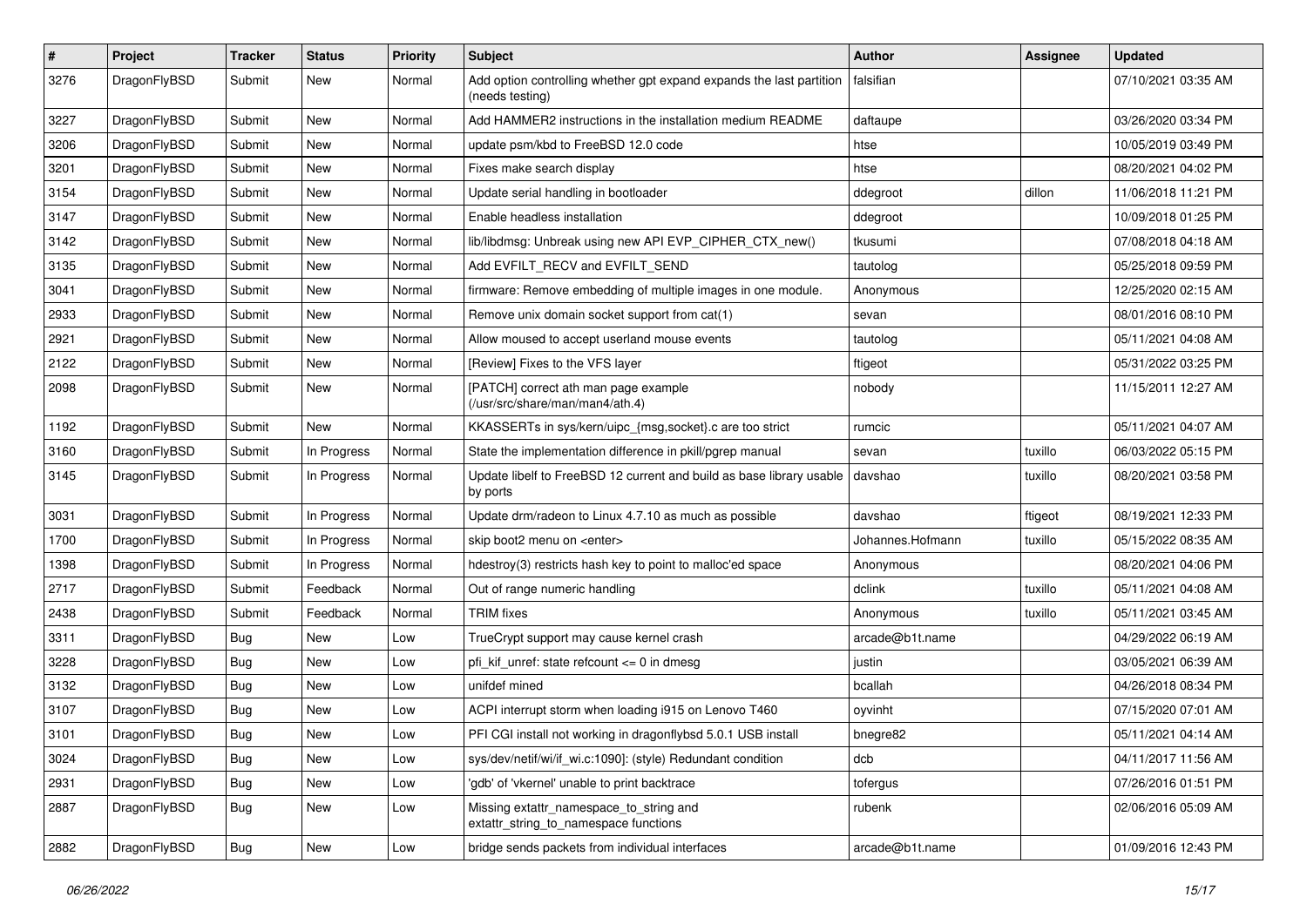| $\pmb{\#}$ | Project      | <b>Tracker</b> | <b>Status</b> | <b>Priority</b> | <b>Subject</b>                                                                          | Author           | Assignee | <b>Updated</b>      |
|------------|--------------|----------------|---------------|-----------------|-----------------------------------------------------------------------------------------|------------------|----------|---------------------|
| 3276       | DragonFlyBSD | Submit         | New           | Normal          | Add option controlling whether gpt expand expands the last partition<br>(needs testing) | falsifian        |          | 07/10/2021 03:35 AM |
| 3227       | DragonFlyBSD | Submit         | New           | Normal          | Add HAMMER2 instructions in the installation medium README                              | daftaupe         |          | 03/26/2020 03:34 PM |
| 3206       | DragonFlyBSD | Submit         | New           | Normal          | update psm/kbd to FreeBSD 12.0 code                                                     | htse             |          | 10/05/2019 03:49 PM |
| 3201       | DragonFlyBSD | Submit         | New           | Normal          | Fixes make search display                                                               | htse             |          | 08/20/2021 04:02 PM |
| 3154       | DragonFlyBSD | Submit         | New           | Normal          | Update serial handling in bootloader                                                    | ddegroot         | dillon   | 11/06/2018 11:21 PM |
| 3147       | DragonFlyBSD | Submit         | New           | Normal          | Enable headless installation                                                            | ddegroot         |          | 10/09/2018 01:25 PM |
| 3142       | DragonFlyBSD | Submit         | New           | Normal          | lib/libdmsg: Unbreak using new API EVP_CIPHER_CTX_new()                                 | tkusumi          |          | 07/08/2018 04:18 AM |
| 3135       | DragonFlyBSD | Submit         | New           | Normal          | Add EVFILT_RECV and EVFILT_SEND                                                         | tautolog         |          | 05/25/2018 09:59 PM |
| 3041       | DragonFlyBSD | Submit         | New           | Normal          | firmware: Remove embedding of multiple images in one module.                            | Anonymous        |          | 12/25/2020 02:15 AM |
| 2933       | DragonFlyBSD | Submit         | New           | Normal          | Remove unix domain socket support from cat(1)                                           | sevan            |          | 08/01/2016 08:10 PM |
| 2921       | DragonFlyBSD | Submit         | New           | Normal          | Allow moused to accept userland mouse events                                            | tautolog         |          | 05/11/2021 04:08 AM |
| 2122       | DragonFlyBSD | Submit         | New           | Normal          | [Review] Fixes to the VFS layer                                                         | ftigeot          |          | 05/31/2022 03:25 PM |
| 2098       | DragonFlyBSD | Submit         | New           | Normal          | [PATCH] correct ath man page example<br>(/usr/src/share/man/man4/ath.4)                 | nobody           |          | 11/15/2011 12:27 AM |
| 1192       | DragonFlyBSD | Submit         | New           | Normal          | KKASSERTs in sys/kern/uipc_{msg,socket}.c are too strict                                | rumcic           |          | 05/11/2021 04:07 AM |
| 3160       | DragonFlyBSD | Submit         | In Progress   | Normal          | State the implementation difference in pkill/pgrep manual                               | sevan            | tuxillo  | 06/03/2022 05:15 PM |
| 3145       | DragonFlyBSD | Submit         | In Progress   | Normal          | Update libelf to FreeBSD 12 current and build as base library usable<br>by ports        | davshao          | tuxillo  | 08/20/2021 03:58 PM |
| 3031       | DragonFlyBSD | Submit         | In Progress   | Normal          | Update drm/radeon to Linux 4.7.10 as much as possible                                   | davshao          | ftigeot  | 08/19/2021 12:33 PM |
| 1700       | DragonFlyBSD | Submit         | In Progress   | Normal          | skip boot2 menu on <enter></enter>                                                      | Johannes.Hofmann | tuxillo  | 05/15/2022 08:35 AM |
| 1398       | DragonFlyBSD | Submit         | In Progress   | Normal          | hdestroy(3) restricts hash key to point to malloc'ed space                              | Anonymous        |          | 08/20/2021 04:06 PM |
| 2717       | DragonFlyBSD | Submit         | Feedback      | Normal          | Out of range numeric handling                                                           | dclink           | tuxillo  | 05/11/2021 04:08 AM |
| 2438       | DragonFlyBSD | Submit         | Feedback      | Normal          | <b>TRIM</b> fixes                                                                       | Anonymous        | tuxillo  | 05/11/2021 03:45 AM |
| 3311       | DragonFlyBSD | Bug            | New           | Low             | TrueCrypt support may cause kernel crash                                                | arcade@b1t.name  |          | 04/29/2022 06:19 AM |
| 3228       | DragonFlyBSD | <b>Bug</b>     | <b>New</b>    | Low             | pfi_kif_unref: state refcount <= 0 in dmesg                                             | justin           |          | 03/05/2021 06:39 AM |
| 3132       | DragonFlyBSD | <b>Bug</b>     | New           | Low             | unifdef mined                                                                           | bcallah          |          | 04/26/2018 08:34 PM |
| 3107       | DragonFlyBSD | Bug            | New           | Low             | ACPI interrupt storm when loading i915 on Lenovo T460                                   | oyvinht          |          | 07/15/2020 07:01 AM |
| 3101       | DragonFlyBSD | Bug            | New           | Low             | PFI CGI install not working in dragonflybsd 5.0.1 USB install                           | bnegre82         |          | 05/11/2021 04:14 AM |
| 3024       | DragonFlyBSD | <b>Bug</b>     | <b>New</b>    | Low             | sys/dev/netif/wi/if_wi.c:1090]: (style) Redundant condition                             | dcb              |          | 04/11/2017 11:56 AM |
| 2931       | DragonFlyBSD | Bug            | New           | Low             | 'gdb' of 'vkernel' unable to print backtrace                                            | tofergus         |          | 07/26/2016 01:51 PM |
| 2887       | DragonFlyBSD | <b>Bug</b>     | New           | Low             | Missing extattr_namespace_to_string and<br>extattr_string_to_namespace functions        | rubenk           |          | 02/06/2016 05:09 AM |
| 2882       | DragonFlyBSD | Bug            | New           | Low             | bridge sends packets from individual interfaces                                         | arcade@b1t.name  |          | 01/09/2016 12:43 PM |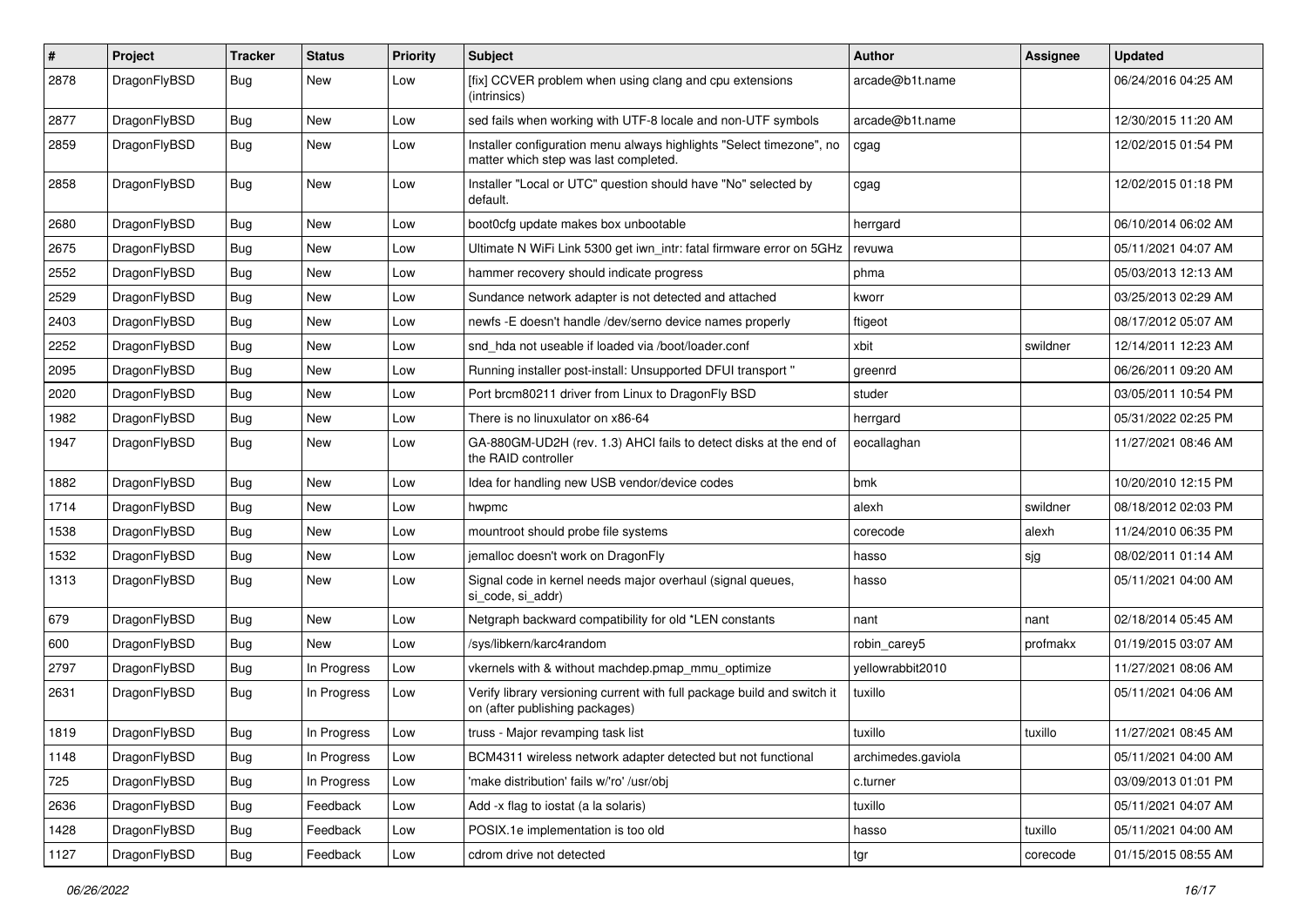| #    | Project      | <b>Tracker</b> | <b>Status</b> | <b>Priority</b> | Subject                                                                                                       | <b>Author</b>      | <b>Assignee</b> | <b>Updated</b>      |
|------|--------------|----------------|---------------|-----------------|---------------------------------------------------------------------------------------------------------------|--------------------|-----------------|---------------------|
| 2878 | DragonFlyBSD | Bug            | New           | Low             | [fix] CCVER problem when using clang and cpu extensions<br>(intrinsics)                                       | arcade@b1t.name    |                 | 06/24/2016 04:25 AM |
| 2877 | DragonFlyBSD | <b>Bug</b>     | New           | Low             | sed fails when working with UTF-8 locale and non-UTF symbols                                                  | arcade@b1t.name    |                 | 12/30/2015 11:20 AM |
| 2859 | DragonFlyBSD | Bug            | New           | Low             | Installer configuration menu always highlights "Select timezone", no<br>matter which step was last completed. | cgag               |                 | 12/02/2015 01:54 PM |
| 2858 | DragonFlyBSD | Bug            | New           | Low             | Installer "Local or UTC" question should have "No" selected by<br>default.                                    | cgag               |                 | 12/02/2015 01:18 PM |
| 2680 | DragonFlyBSD | Bug            | New           | Low             | boot0cfg update makes box unbootable                                                                          | herrgard           |                 | 06/10/2014 06:02 AM |
| 2675 | DragonFlyBSD | Bug            | <b>New</b>    | Low             | Ultimate N WiFi Link 5300 get iwn_intr: fatal firmware error on 5GHz                                          | revuwa             |                 | 05/11/2021 04:07 AM |
| 2552 | DragonFlyBSD | Bug            | <b>New</b>    | Low             | hammer recovery should indicate progress                                                                      | phma               |                 | 05/03/2013 12:13 AM |
| 2529 | DragonFlyBSD | <b>Bug</b>     | New           | Low             | Sundance network adapter is not detected and attached                                                         | kworr              |                 | 03/25/2013 02:29 AM |
| 2403 | DragonFlyBSD | Bug            | New           | Low             | newfs -E doesn't handle /dev/serno device names properly                                                      | ftigeot            |                 | 08/17/2012 05:07 AM |
| 2252 | DragonFlyBSD | Bug            | <b>New</b>    | Low             | snd hda not useable if loaded via /boot/loader.conf                                                           | xbit               | swildner        | 12/14/2011 12:23 AM |
| 2095 | DragonFlyBSD | Bug            | <b>New</b>    | Low             | Running installer post-install: Unsupported DFUI transport "                                                  | greenrd            |                 | 06/26/2011 09:20 AM |
| 2020 | DragonFlyBSD | Bug            | New           | Low             | Port brcm80211 driver from Linux to DragonFly BSD                                                             | studer             |                 | 03/05/2011 10:54 PM |
| 1982 | DragonFlyBSD | <b>Bug</b>     | <b>New</b>    | Low             | There is no linuxulator on x86-64                                                                             | herrgard           |                 | 05/31/2022 02:25 PM |
| 1947 | DragonFlyBSD | <b>Bug</b>     | New           | Low             | GA-880GM-UD2H (rev. 1.3) AHCI fails to detect disks at the end of<br>the RAID controller                      | eocallaghan        |                 | 11/27/2021 08:46 AM |
| 1882 | DragonFlyBSD | Bug            | <b>New</b>    | Low             | Idea for handling new USB vendor/device codes                                                                 | bmk                |                 | 10/20/2010 12:15 PM |
| 1714 | DragonFlyBSD | <b>Bug</b>     | New           | Low             | hwpmc                                                                                                         | alexh              | swildner        | 08/18/2012 02:03 PM |
| 1538 | DragonFlyBSD | <b>Bug</b>     | New           | Low             | mountroot should probe file systems                                                                           | corecode           | alexh           | 11/24/2010 06:35 PM |
| 1532 | DragonFlyBSD | <b>Bug</b>     | <b>New</b>    | Low             | jemalloc doesn't work on DragonFly                                                                            | hasso              | sjg             | 08/02/2011 01:14 AM |
| 1313 | DragonFlyBSD | Bug            | New           | Low             | Signal code in kernel needs major overhaul (signal queues,<br>si code, si addr)                               | hasso              |                 | 05/11/2021 04:00 AM |
| 679  | DragonFlyBSD | Bug            | <b>New</b>    | Low             | Netgraph backward compatibility for old *LEN constants                                                        | nant               | nant            | 02/18/2014 05:45 AM |
| 600  | DragonFlyBSD | Bug            | <b>New</b>    | Low             | /sys/libkern/karc4random                                                                                      | robin carey5       | profmakx        | 01/19/2015 03:07 AM |
| 2797 | DragonFlyBSD | <b>Bug</b>     | In Progress   | Low             | vkernels with & without machdep.pmap mmu optimize                                                             | yellowrabbit2010   |                 | 11/27/2021 08:06 AM |
| 2631 | DragonFlyBSD | <b>Bug</b>     | In Progress   | Low             | Verify library versioning current with full package build and switch it<br>on (after publishing packages)     | tuxillo            |                 | 05/11/2021 04:06 AM |
| 1819 | DragonFlyBSD | Bug            | In Progress   | Low             | truss - Major revamping task list                                                                             | tuxillo            | tuxillo         | 11/27/2021 08:45 AM |
| 1148 | DragonFlyBSD | <b>Bug</b>     | In Progress   | Low             | BCM4311 wireless network adapter detected but not functional                                                  | archimedes.gaviola |                 | 05/11/2021 04:00 AM |
| 725  | DragonFlyBSD | <b>Bug</b>     | In Progress   | Low             | 'make distribution' fails w/'ro' /usr/obj                                                                     | c.turner           |                 | 03/09/2013 01:01 PM |
| 2636 | DragonFlyBSD | Bug            | Feedback      | Low             | Add -x flag to iostat (a la solaris)                                                                          | tuxillo            |                 | 05/11/2021 04:07 AM |
| 1428 | DragonFlyBSD | <b>Bug</b>     | Feedback      | Low             | POSIX.1e implementation is too old                                                                            | hasso              | tuxillo         | 05/11/2021 04:00 AM |
| 1127 | DragonFlyBSD | Bug            | Feedback      | Low             | cdrom drive not detected                                                                                      | tgr                | corecode        | 01/15/2015 08:55 AM |